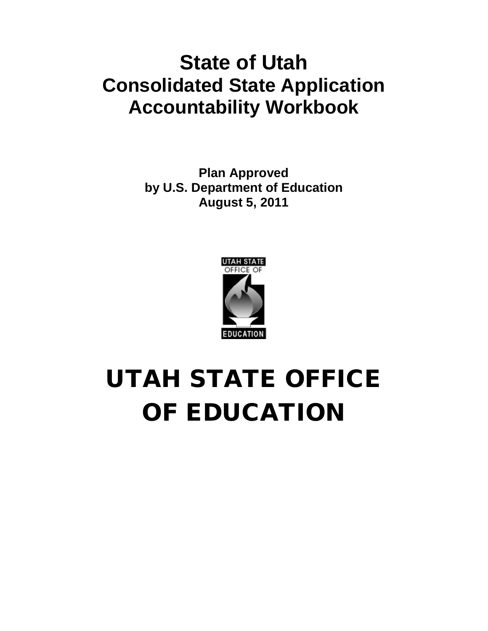# **State of Utah Consolidated State Application Accountability Workbook**

**Plan Approved by U.S. Department of Education August 5, 2011**



# UTAH STATE OFFICE OF EDUCATION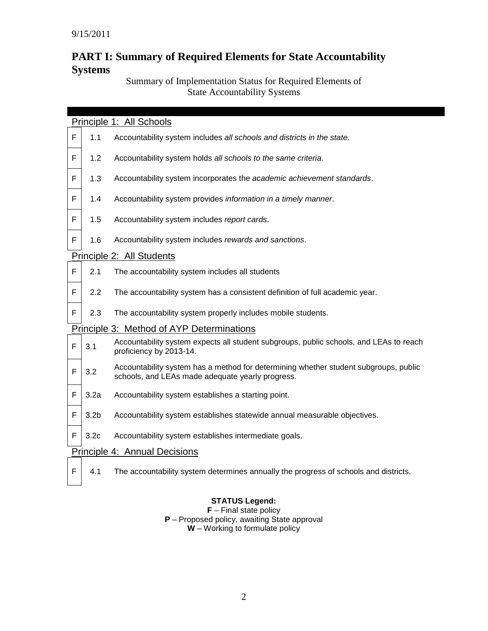# **PART I: Summary of Required Elements for State Accountability Systems**

# Summary of Implementation Status for Required Elements of State Accountability Systems

|   | Principle 1: All Schools      |                                                                                                                                          |  |  |  |  |
|---|-------------------------------|------------------------------------------------------------------------------------------------------------------------------------------|--|--|--|--|
| F | 1.1                           | Accountability system includes all schools and districts in the state.                                                                   |  |  |  |  |
| F | 1.2                           | Accountability system holds all schools to the same criteria.                                                                            |  |  |  |  |
| F | 1.3                           | Accountability system incorporates the academic achievement standards.                                                                   |  |  |  |  |
| F | 1.4                           | Accountability system provides information in a timely manner.                                                                           |  |  |  |  |
| F | 1.5                           | Accountability system includes report cards.                                                                                             |  |  |  |  |
| F | 1.6                           | Accountability system includes rewards and sanctions.                                                                                    |  |  |  |  |
|   |                               | Principle 2: All Students                                                                                                                |  |  |  |  |
| F | 2.1                           | The accountability system includes all students                                                                                          |  |  |  |  |
| F | 2.2                           | The accountability system has a consistent definition of full academic year.                                                             |  |  |  |  |
| F | 2.3                           | The accountability system properly includes mobile students.                                                                             |  |  |  |  |
|   |                               | Principle 3: Method of AYP Determinations                                                                                                |  |  |  |  |
| F | 3.1                           | Accountability system expects all student subgroups, public schools, and LEAs to reach<br>proficiency by 2013-14.                        |  |  |  |  |
| F | 3.2                           | Accountability system has a method for determining whether student subgroups, public<br>schools, and LEAs made adequate yearly progress. |  |  |  |  |
| F | 3.2a                          | Accountability system establishes a starting point.                                                                                      |  |  |  |  |
| F | 3.2 <sub>b</sub>              | Accountability system establishes statewide annual measurable objectives.                                                                |  |  |  |  |
| F | 3.2 <sub>c</sub>              | Accountability system establishes intermediate goals.                                                                                    |  |  |  |  |
|   | Principle 4: Annual Decisions |                                                                                                                                          |  |  |  |  |
| F | 4.1                           | The accountability system determines annually the progress of schools and districts.                                                     |  |  |  |  |

# **STATUS Legend:**

**F** – Final state policy **P** – Proposed policy, awaiting State approval **W** – Working to formulate policy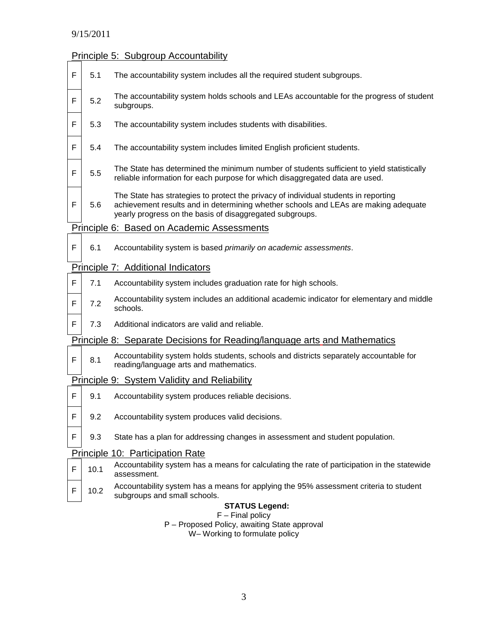#### Principle 5: Subgroup Accountability

 $F \mid 5.1$  The accountability system includes all the required student subgroups.  $F \begin{bmatrix} 5.2 \end{bmatrix}$  The accountability system holds schools and LEAs accountable for the progress of student subgroups.  $F \mid 5.3$  The accountability system includes students with disabilities.  $F \mid 5.4$  The accountability system includes limited English proficient students.  $F \begin{bmatrix} 5.5 \end{bmatrix}$  The State has determined the minimum number of students sufficient to yield statistically reliable information for each purpose for which disaggregated data are used.  $F$  5.6 The State has strategies to protect the privacy of individual students in reporting achievement results and in determining whether schools and LEAs are making adequate yearly progress on the basis of disaggregated subgroups. Principle 6: Based on Academic Assessments F 6.1 Accountability system is based *primarily on academic assessments*. Principle 7: Additional Indicators  $F \mid 7.1$  Accountability system includes graduation rate for high schools.  $F \begin{bmatrix} 7.2 \end{bmatrix}$  Accountability system includes an additional academic indicator for elementary and middle schools.  $F \mid 7.3$  Additional indicators are valid and reliable. Principle 8: Separate Decisions for Reading/language arts and Mathematics  $F \begin{bmatrix} 8.1 \end{bmatrix}$  Accountability system holds students, schools and districts separately accountable for reading/language arts and mathematics. Principle 9: System Validity and Reliability  $F \parallel 9.1$  Accountability system produces reliable decisions.  $F \mid 9.2$  Accountability system produces valid decisions.  $F \mid 9.3$  State has a plan for addressing changes in assessment and student population. Principle 10: Participation Rate  $F \mid 10.1$  Accountability system has a means for calculating the rate of participation in the statewide assessment.  $F \mid 10.2$  Accountability system has a means for applying the 95% assessment criteria to student subgroups and small schools. **STATUS Legend:** F – Final policy P – Proposed Policy, awaiting State approval W– Working to formulate policy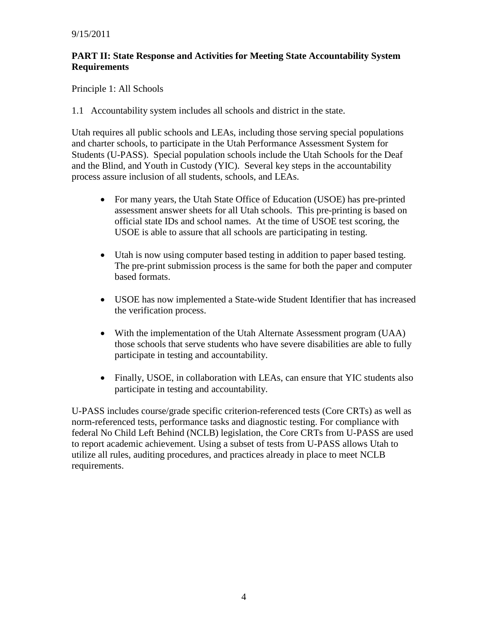#### **PART II: State Response and Activities for Meeting State Accountability System Requirements**

Principle 1: All Schools

1.1 Accountability system includes all schools and district in the state.

Utah requires all public schools and LEAs, including those serving special populations and charter schools, to participate in the Utah Performance Assessment System for Students (U-PASS). Special population schools include the Utah Schools for the Deaf and the Blind, and Youth in Custody (YIC). Several key steps in the accountability process assure inclusion of all students, schools, and LEAs.

- For many years, the Utah State Office of Education (USOE) has pre-printed assessment answer sheets for all Utah schools. This pre-printing is based on official state IDs and school names. At the time of USOE test scoring, the USOE is able to assure that all schools are participating in testing.
- Utah is now using computer based testing in addition to paper based testing. The pre-print submission process is the same for both the paper and computer based formats.
- USOE has now implemented a State-wide Student Identifier that has increased the verification process.
- With the implementation of the Utah Alternate Assessment program (UAA) those schools that serve students who have severe disabilities are able to fully participate in testing and accountability.
- Finally, USOE, in collaboration with LEAs, can ensure that YIC students also participate in testing and accountability.

U-PASS includes course/grade specific criterion-referenced tests (Core CRTs) as well as norm-referenced tests, performance tasks and diagnostic testing. For compliance with federal No Child Left Behind (NCLB) legislation, the Core CRTs from U-PASS are used to report academic achievement. Using a subset of tests from U-PASS allows Utah to utilize all rules, auditing procedures, and practices already in place to meet NCLB requirements.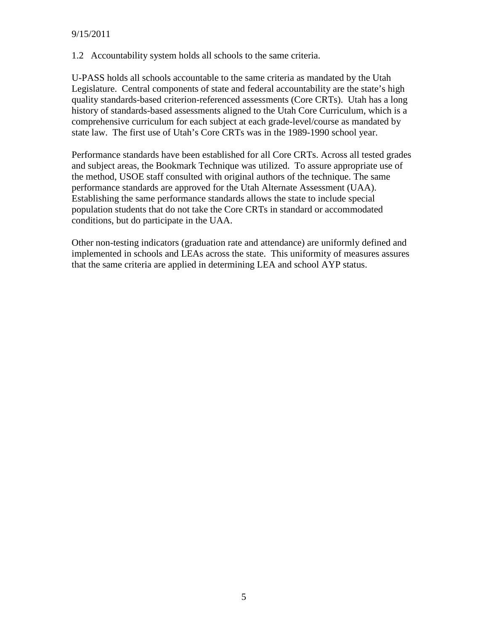1.2 Accountability system holds all schools to the same criteria.

U-PASS holds all schools accountable to the same criteria as mandated by the Utah Legislature. Central components of state and federal accountability are the state's high quality standards-based criterion-referenced assessments (Core CRTs). Utah has a long history of standards-based assessments aligned to the Utah Core Curriculum, which is a comprehensive curriculum for each subject at each grade-level/course as mandated by state law. The first use of Utah's Core CRTs was in the 1989-1990 school year.

Performance standards have been established for all Core CRTs. Across all tested grades and subject areas, the Bookmark Technique was utilized. To assure appropriate use of the method, USOE staff consulted with original authors of the technique. The same performance standards are approved for the Utah Alternate Assessment (UAA). Establishing the same performance standards allows the state to include special population students that do not take the Core CRTs in standard or accommodated conditions, but do participate in the UAA.

Other non-testing indicators (graduation rate and attendance) are uniformly defined and implemented in schools and LEAs across the state. This uniformity of measures assures that the same criteria are applied in determining LEA and school AYP status.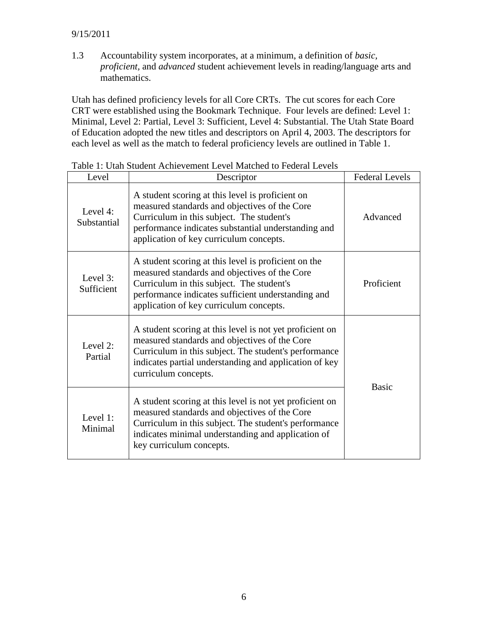#### 9/15/2011

1.3 Accountability system incorporates, at a minimum, a definition of *basic, proficient,* and *advanced* student achievement levels in reading/language arts and mathematics.

Utah has defined proficiency levels for all Core CRTs. The cut scores for each Core CRT were established using the Bookmark Technique. Four levels are defined: Level 1: Minimal, Level 2: Partial, Level 3: Sufficient, Level 4: Substantial. The Utah State Board of Education adopted the new titles and descriptors on April 4, 2003. The descriptors for each level as well as the match to federal proficiency levels are outlined in Table 1.

| Level                      | Descriptor                                                                                                                                                                                                                                           | <b>Federal Levels</b> |
|----------------------------|------------------------------------------------------------------------------------------------------------------------------------------------------------------------------------------------------------------------------------------------------|-----------------------|
| Level $4$ :<br>Substantial | A student scoring at this level is proficient on<br>measured standards and objectives of the Core<br>Curriculum in this subject. The student's<br>performance indicates substantial understanding and<br>application of key curriculum concepts.     | Advanced              |
| Level $3$ :<br>Sufficient  | A student scoring at this level is proficient on the<br>measured standards and objectives of the Core<br>Curriculum in this subject. The student's<br>performance indicates sufficient understanding and<br>application of key curriculum concepts.  | Proficient            |
| Level 2:<br>Partial        | A student scoring at this level is not yet proficient on<br>measured standards and objectives of the Core<br>Curriculum in this subject. The student's performance<br>indicates partial understanding and application of key<br>curriculum concepts. | <b>Basic</b>          |
| Level 1:<br>Minimal        | A student scoring at this level is not yet proficient on<br>measured standards and objectives of the Core<br>Curriculum in this subject. The student's performance<br>indicates minimal understanding and application of<br>key curriculum concepts. |                       |

Table 1: Utah Student Achievement Level Matched to Federal Levels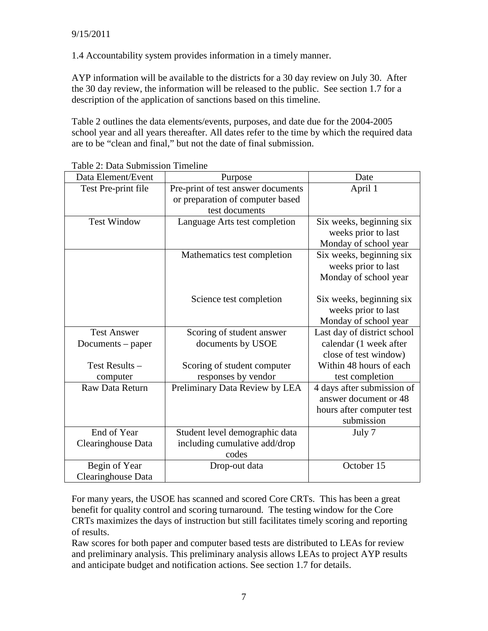1.4 Accountability system provides information in a timely manner.

AYP information will be available to the districts for a 30 day review on July 30. After the 30 day review, the information will be released to the public. See section 1.7 for a description of the application of sanctions based on this timeline.

Table 2 outlines the data elements/events, purposes, and date due for the 2004-2005 school year and all years thereafter. All dates refer to the time by which the required data are to be "clean and final," but not the date of final submission.

| Data Element/Event  | Purpose                            | Date                        |
|---------------------|------------------------------------|-----------------------------|
| Test Pre-print file | Pre-print of test answer documents | April 1                     |
|                     | or preparation of computer based   |                             |
|                     | test documents                     |                             |
| <b>Test Window</b>  | Language Arts test completion      | Six weeks, beginning six    |
|                     |                                    | weeks prior to last         |
|                     |                                    | Monday of school year       |
|                     | Mathematics test completion        | Six weeks, beginning six    |
|                     |                                    | weeks prior to last         |
|                     |                                    | Monday of school year       |
|                     |                                    |                             |
|                     | Science test completion            | Six weeks, beginning six    |
|                     |                                    | weeks prior to last         |
|                     |                                    | Monday of school year       |
| <b>Test Answer</b>  | Scoring of student answer          | Last day of district school |
| Documents – paper   | documents by USOE                  | calendar (1 week after      |
|                     |                                    | close of test window)       |
| Test Results -      | Scoring of student computer        | Within 48 hours of each     |
| computer            | responses by vendor                | test completion             |
| Raw Data Return     | Preliminary Data Review by LEA     | 4 days after submission of  |
|                     |                                    | answer document or 48       |
|                     |                                    | hours after computer test   |
|                     |                                    | submission                  |
| End of Year         | Student level demographic data     | July 7                      |
| Clearinghouse Data  | including cumulative add/drop      |                             |
|                     | codes                              |                             |
| Begin of Year       | Drop-out data                      | October 15                  |
| Clearinghouse Data  |                                    |                             |

Table 2: Data Submission Timeline

For many years, the USOE has scanned and scored Core CRTs. This has been a great benefit for quality control and scoring turnaround. The testing window for the Core CRTs maximizes the days of instruction but still facilitates timely scoring and reporting of results.

Raw scores for both paper and computer based tests are distributed to LEAs for review and preliminary analysis. This preliminary analysis allows LEAs to project AYP results and anticipate budget and notification actions. See section 1.7 for details.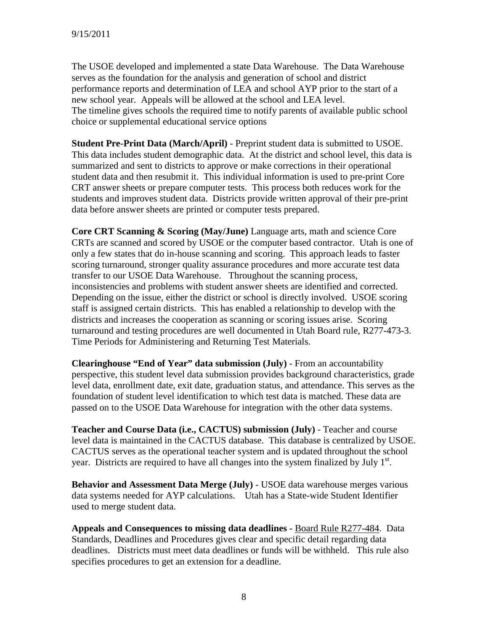The USOE developed and implemented a state Data Warehouse. The Data Warehouse serves as the foundation for the analysis and generation of school and district performance reports and determination of LEA and school AYP prior to the start of a new school year. Appeals will be allowed at the school and LEA level. The timeline gives schools the required time to notify parents of available public school choice or supplemental educational service options

**Student Pre-Print Data (March/April)** - Preprint student data is submitted to USOE. This data includes student demographic data. At the district and school level, this data is summarized and sent to districts to approve or make corrections in their operational student data and then resubmit it. This individual information is used to pre-print Core CRT answer sheets or prepare computer tests. This process both reduces work for the students and improves student data. Districts provide written approval of their pre-print data before answer sheets are printed or computer tests prepared.

**Core CRT Scanning & Scoring (May/June)** Language arts, math and science Core CRTs are scanned and scored by USOE or the computer based contractor. Utah is one of only a few states that do in-house scanning and scoring. This approach leads to faster scoring turnaround, stronger quality assurance procedures and more accurate test data transfer to our USOE Data Warehouse. Throughout the scanning process, inconsistencies and problems with student answer sheets are identified and corrected. Depending on the issue, either the district or school is directly involved. USOE scoring staff is assigned certain districts. This has enabled a relationship to develop with the districts and increases the cooperation as scanning or scoring issues arise. Scoring turnaround and testing procedures are well documented in Utah Board rule, R277-473-3. Time Periods for Administering and Returning Test Materials.

**Clearinghouse "End of Year" data submission (July)** - From an accountability perspective, this student level data submission provides background characteristics, grade level data, enrollment date, exit date, graduation status, and attendance. This serves as the foundation of student level identification to which test data is matched. These data are passed on to the USOE Data Warehouse for integration with the other data systems.

**Teacher and Course Data (i.e., CACTUS) submission (July)** - Teacher and course level data is maintained in the CACTUS database. This database is centralized by USOE. CACTUS serves as the operational teacher system and is updated throughout the school year. Districts are required to have all changes into the system finalized by July  $1<sup>st</sup>$ .

**Behavior and Assessment Data Merge (July)** - USOE data warehouse merges various data systems needed for AYP calculations. Utah has a State-wide Student Identifier used to merge student data.

**Appeals and Consequences to missing data deadlines -** Board [Rule](http://www.usoe.k12.ut.us/data/R277-484.pdf) R277-484. Data Standards, Deadlines and Procedures gives clear and specific detail regarding data deadlines. Districts must meet data deadlines or funds will be withheld. This rule also specifies procedures to get an extension for a deadline.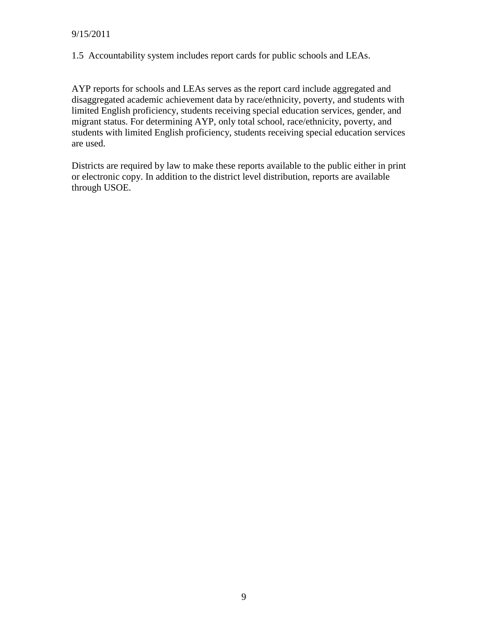1.5 Accountability system includes report cards for public schools and LEAs.

AYP reports for schools and LEAs serves as the report card include aggregated and disaggregated academic achievement data by race/ethnicity, poverty, and students with limited English proficiency, students receiving special education services, gender, and migrant status. For determining AYP, only total school, race/ethnicity, poverty, and students with limited English proficiency, students receiving special education services are used.

Districts are required by law to make these reports available to the public either in print or electronic copy. In addition to the district level distribution, reports are available through USOE.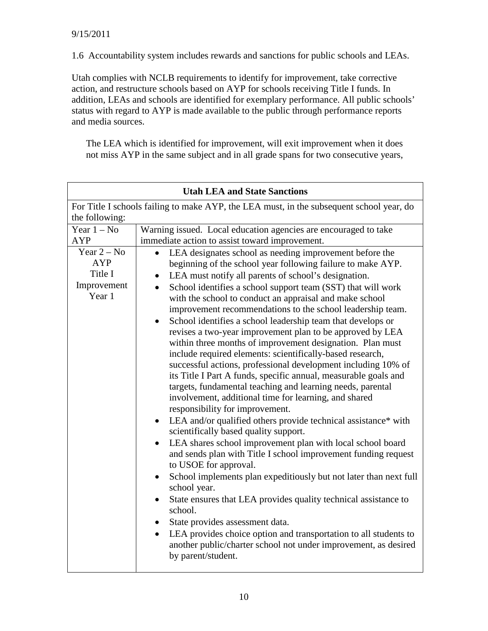1.6 Accountability system includes rewards and sanctions for public schools and LEAs.

Utah complies with NCLB requirements to identify for improvement, take corrective action, and restructure schools based on AYP for schools receiving Title I funds. In addition, LEAs and schools are identified for exemplary performance. All public schools' status with regard to AYP is made available to the public through performance reports and media sources.

The LEA which is identified for improvement, will exit improvement when it does not miss AYP in the same subject and in all grade spans for two consecutive years,

|                                                                                          | <b>Utah LEA and State Sanctions</b>                                                                                                                                                                                                                                                                                                                                                                                                                                                                                                                                                                                                                                                                                                                                                                                                                                                                                                                                                                                                                                                                                                                                                                                                                                                                                                                                                                                                                                                                                                                                                                                                              |  |  |  |  |  |  |
|------------------------------------------------------------------------------------------|--------------------------------------------------------------------------------------------------------------------------------------------------------------------------------------------------------------------------------------------------------------------------------------------------------------------------------------------------------------------------------------------------------------------------------------------------------------------------------------------------------------------------------------------------------------------------------------------------------------------------------------------------------------------------------------------------------------------------------------------------------------------------------------------------------------------------------------------------------------------------------------------------------------------------------------------------------------------------------------------------------------------------------------------------------------------------------------------------------------------------------------------------------------------------------------------------------------------------------------------------------------------------------------------------------------------------------------------------------------------------------------------------------------------------------------------------------------------------------------------------------------------------------------------------------------------------------------------------------------------------------------------------|--|--|--|--|--|--|
| For Title I schools failing to make AYP, the LEA must, in the subsequent school year, do |                                                                                                                                                                                                                                                                                                                                                                                                                                                                                                                                                                                                                                                                                                                                                                                                                                                                                                                                                                                                                                                                                                                                                                                                                                                                                                                                                                                                                                                                                                                                                                                                                                                  |  |  |  |  |  |  |
|                                                                                          | the following:                                                                                                                                                                                                                                                                                                                                                                                                                                                                                                                                                                                                                                                                                                                                                                                                                                                                                                                                                                                                                                                                                                                                                                                                                                                                                                                                                                                                                                                                                                                                                                                                                                   |  |  |  |  |  |  |
| Year $1 - No$                                                                            | Warning issued. Local education agencies are encouraged to take                                                                                                                                                                                                                                                                                                                                                                                                                                                                                                                                                                                                                                                                                                                                                                                                                                                                                                                                                                                                                                                                                                                                                                                                                                                                                                                                                                                                                                                                                                                                                                                  |  |  |  |  |  |  |
| <b>AYP</b>                                                                               | immediate action to assist toward improvement.                                                                                                                                                                                                                                                                                                                                                                                                                                                                                                                                                                                                                                                                                                                                                                                                                                                                                                                                                                                                                                                                                                                                                                                                                                                                                                                                                                                                                                                                                                                                                                                                   |  |  |  |  |  |  |
| Year $2 - No$<br>AYP<br>Title I<br>Improvement<br>Year 1                                 | LEA designates school as needing improvement before the<br>beginning of the school year following failure to make AYP.<br>LEA must notify all parents of school's designation.<br>$\bullet$<br>School identifies a school support team (SST) that will work<br>$\bullet$<br>with the school to conduct an appraisal and make school<br>improvement recommendations to the school leadership team.<br>School identifies a school leadership team that develops or<br>revises a two-year improvement plan to be approved by LEA<br>within three months of improvement designation. Plan must<br>include required elements: scientifically-based research,<br>successful actions, professional development including 10% of<br>its Title I Part A funds, specific annual, measurable goals and<br>targets, fundamental teaching and learning needs, parental<br>involvement, additional time for learning, and shared<br>responsibility for improvement.<br>LEA and/or qualified others provide technical assistance* with<br>$\bullet$<br>scientifically based quality support.<br>LEA shares school improvement plan with local school board<br>$\bullet$<br>and sends plan with Title I school improvement funding request<br>to USOE for approval.<br>School implements plan expeditiously but not later than next full<br>$\bullet$<br>school year.<br>State ensures that LEA provides quality technical assistance to<br>school.<br>State provides assessment data.<br>LEA provides choice option and transportation to all students to<br>$\bullet$<br>another public/charter school not under improvement, as desired<br>by parent/student. |  |  |  |  |  |  |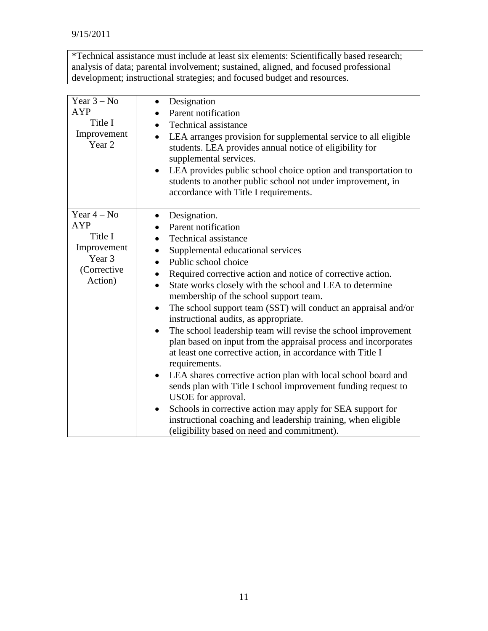\*Technical assistance must include at least six elements: Scientifically based research; analysis of data; parental involvement; sustained, aligned, and focused professional development; instructional strategies; and focused budget and resources.

| Year $3 - No$<br><b>AYP</b><br>Title I<br>Improvement<br>Year 2                           | Designation<br>$\bullet$<br>Parent notification<br><b>Technical assistance</b><br>LEA arranges provision for supplemental service to all eligible<br>$\bullet$<br>students. LEA provides annual notice of eligibility for<br>supplemental services.<br>LEA provides public school choice option and transportation to<br>$\bullet$<br>students to another public school not under improvement, in<br>accordance with Title I requirements.                                                                                                                                                                                                                                                                                                                                                                                                                                                                                                                                                                                                                                       |
|-------------------------------------------------------------------------------------------|----------------------------------------------------------------------------------------------------------------------------------------------------------------------------------------------------------------------------------------------------------------------------------------------------------------------------------------------------------------------------------------------------------------------------------------------------------------------------------------------------------------------------------------------------------------------------------------------------------------------------------------------------------------------------------------------------------------------------------------------------------------------------------------------------------------------------------------------------------------------------------------------------------------------------------------------------------------------------------------------------------------------------------------------------------------------------------|
| Year $4 - No$<br><b>AYP</b><br>Title I<br>Improvement<br>Year 3<br>(Corrective<br>Action) | Designation.<br>$\bullet$<br>Parent notification<br><b>Technical assistance</b><br>$\bullet$<br>Supplemental educational services<br>$\bullet$<br>Public school choice<br>$\bullet$<br>Required corrective action and notice of corrective action.<br>State works closely with the school and LEA to determine<br>$\bullet$<br>membership of the school support team.<br>The school support team (SST) will conduct an appraisal and/or<br>$\bullet$<br>instructional audits, as appropriate.<br>The school leadership team will revise the school improvement<br>$\bullet$<br>plan based on input from the appraisal process and incorporates<br>at least one corrective action, in accordance with Title I<br>requirements.<br>LEA shares corrective action plan with local school board and<br>$\bullet$<br>sends plan with Title I school improvement funding request to<br>USOE for approval.<br>Schools in corrective action may apply for SEA support for<br>instructional coaching and leadership training, when eligible<br>(eligibility based on need and commitment). |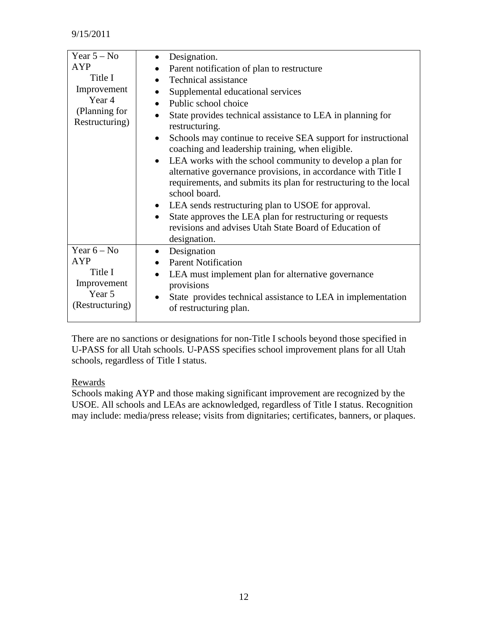| Year $5 - No$          | Designation.                                                                                                                                                                                                       |
|------------------------|--------------------------------------------------------------------------------------------------------------------------------------------------------------------------------------------------------------------|
| <b>AYP</b>             | Parent notification of plan to restructure                                                                                                                                                                         |
| Title I                | Technical assistance                                                                                                                                                                                               |
| Improvement            | Supplemental educational services                                                                                                                                                                                  |
| Year 4                 | Public school choice<br>$\bullet$                                                                                                                                                                                  |
| (Planning for          | State provides technical assistance to LEA in planning for                                                                                                                                                         |
| Restructuring)         | restructuring.                                                                                                                                                                                                     |
|                        | Schools may continue to receive SEA support for instructional<br>$\bullet$<br>coaching and leadership training, when eligible.                                                                                     |
|                        | • LEA works with the school community to develop a plan for<br>alternative governance provisions, in accordance with Title I<br>requirements, and submits its plan for restructuring to the local<br>school board. |
|                        | • LEA sends restructuring plan to USOE for approval.                                                                                                                                                               |
|                        | State approves the LEA plan for restructuring or requests<br>$\bullet$                                                                                                                                             |
|                        | revisions and advises Utah State Board of Education of<br>designation.                                                                                                                                             |
| Year $6 - No$          | Designation                                                                                                                                                                                                        |
| <b>AYP</b>             | <b>Parent Notification</b>                                                                                                                                                                                         |
| Title I<br>Improvement | LEA must implement plan for alternative governance<br>$\bullet$<br>provisions                                                                                                                                      |
| Year 5                 | State provides technical assistance to LEA in implementation                                                                                                                                                       |
| (Restructuring)        | of restructuring plan.                                                                                                                                                                                             |

There are no sanctions or designations for non-Title I schools beyond those specified in U-PASS for all Utah schools. U-PASS specifies school improvement plans for all Utah schools, regardless of Title I status.

#### Rewards

Schools making AYP and those making significant improvement are recognized by the USOE. All schools and LEAs are acknowledged, regardless of Title I status. Recognition may include: media/press release; visits from dignitaries; certificates, banners, or plaques.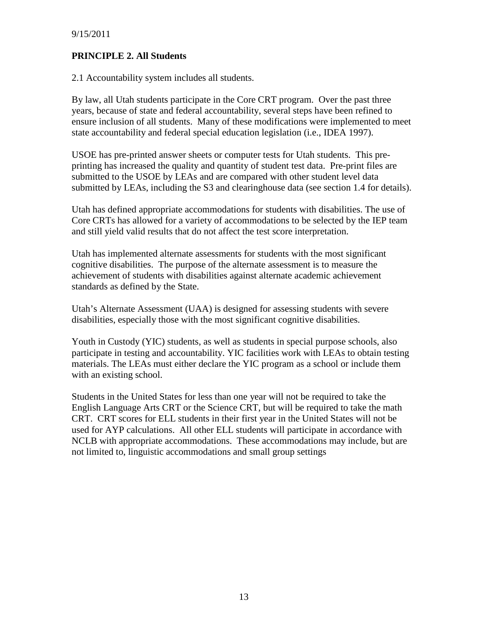#### **PRINCIPLE 2. All Students**

2.1 Accountability system includes all students.

By law, all Utah students participate in the Core CRT program. Over the past three years, because of state and federal accountability, several steps have been refined to ensure inclusion of all students. Many of these modifications were implemented to meet state accountability and federal special education legislation (i.e., IDEA 1997).

USOE has pre-printed answer sheets or computer tests for Utah students. This preprinting has increased the quality and quantity of student test data. Pre-print files are submitted to the USOE by LEAs and are compared with other student level data submitted by LEAs, including the S3 and clearinghouse data (see section 1.4 for details).

Utah has defined appropriate accommodations for students with disabilities. The use of Core CRTs has allowed for a variety of accommodations to be selected by the IEP team and still yield valid results that do not affect the test score interpretation.

Utah has implemented alternate assessments for students with the most significant cognitive disabilities. The purpose of the alternate assessment is to measure the achievement of students with disabilities against alternate academic achievement standards as defined by the State.

Utah's Alternate Assessment (UAA) is designed for assessing students with severe disabilities, especially those with the most significant cognitive disabilities.

Youth in Custody (YIC) students, as well as students in special purpose schools, also participate in testing and accountability. YIC facilities work with LEAs to obtain testing materials. The LEAs must either declare the YIC program as a school or include them with an existing school.

Students in the United States for less than one year will not be required to take the English Language Arts CRT or the Science CRT, but will be required to take the math CRT. CRT scores for ELL students in their first year in the United States will not be used for AYP calculations. All other ELL students will participate in accordance with NCLB with appropriate accommodations. These accommodations may include, but are not limited to, linguistic accommodations and small group settings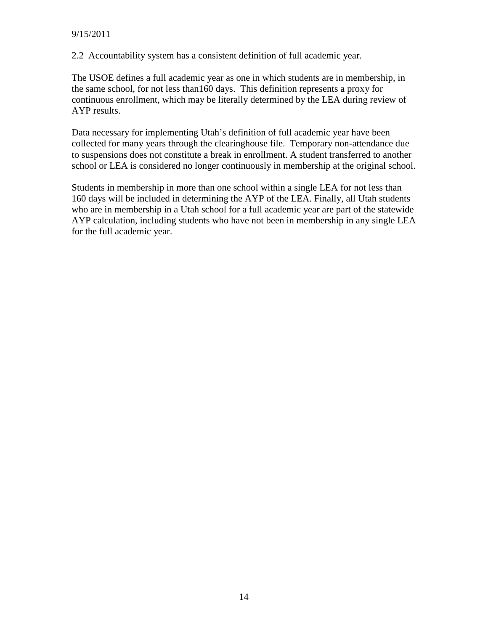2.2 Accountability system has a consistent definition of full academic year.

The USOE defines a full academic year as one in which students are in membership, in the same school, for not less than160 days. This definition represents a proxy for continuous enrollment, which may be literally determined by the LEA during review of AYP results.

Data necessary for implementing Utah's definition of full academic year have been collected for many years through the clearinghouse file. Temporary non-attendance due to suspensions does not constitute a break in enrollment. A student transferred to another school or LEA is considered no longer continuously in membership at the original school.

Students in membership in more than one school within a single LEA for not less than 160 days will be included in determining the AYP of the LEA. Finally, all Utah students who are in membership in a Utah school for a full academic year are part of the statewide AYP calculation, including students who have not been in membership in any single LEA for the full academic year.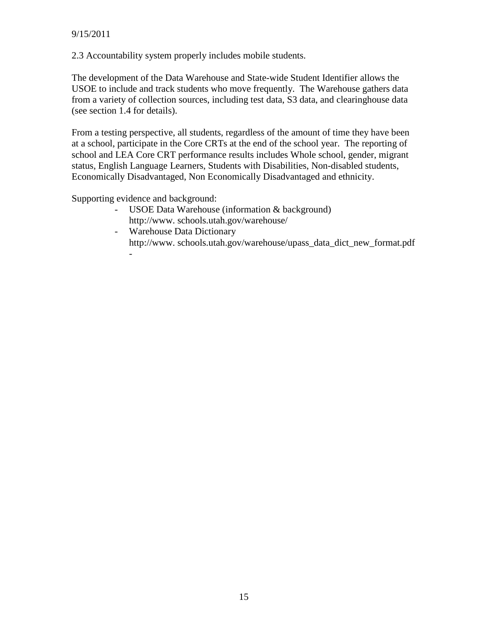2.3 Accountability system properly includes mobile students.

The development of the Data Warehouse and State-wide Student Identifier allows the USOE to include and track students who move frequently. The Warehouse gathers data from a variety of collection sources, including test data, S3 data, and clearinghouse data (see section 1.4 for details).

From a testing perspective, all students, regardless of the amount of time they have been at a school, participate in the Core CRTs at the end of the school year. The reporting of school and LEA Core CRT performance results includes Whole school, gender, migrant status, English Language Learners, Students with Disabilities, Non-disabled students, Economically Disadvantaged, Non Economically Disadvantaged and ethnicity.

Supporting evidence and background:

- USOE Data Warehouse (information  $&$  background) http://www. schools.utah.gov/warehouse/
- Warehouse Data Dictionary http://www. schools.utah.gov/warehouse/upass\_data\_dict\_new\_format.pdf -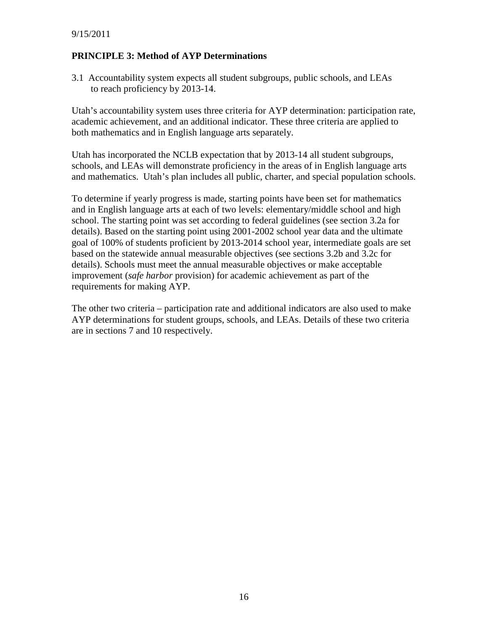#### **PRINCIPLE 3: Method of AYP Determinations**

3.1 Accountability system expects all student subgroups, public schools, and LEAs to reach proficiency by 2013-14.

Utah's accountability system uses three criteria for AYP determination: participation rate, academic achievement, and an additional indicator. These three criteria are applied to both mathematics and in English language arts separately.

Utah has incorporated the NCLB expectation that by 2013-14 all student subgroups, schools, and LEAs will demonstrate proficiency in the areas of in English language arts and mathematics. Utah's plan includes all public, charter, and special population schools.

To determine if yearly progress is made, starting points have been set for mathematics and in English language arts at each of two levels: elementary/middle school and high school. The starting point was set according to federal guidelines (see section 3.2a for details). Based on the starting point using 2001-2002 school year data and the ultimate goal of 100% of students proficient by 2013-2014 school year, intermediate goals are set based on the statewide annual measurable objectives (see sections 3.2b and 3.2c for details). Schools must meet the annual measurable objectives or make acceptable improvement (*safe harbor* provision) for academic achievement as part of the requirements for making AYP.

The other two criteria – participation rate and additional indicators are also used to make AYP determinations for student groups, schools, and LEAs. Details of these two criteria are in sections 7 and 10 respectively.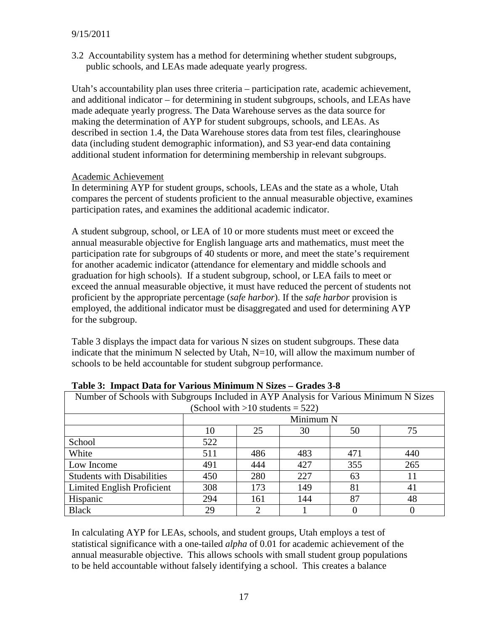3.2 Accountability system has a method for determining whether student subgroups, public schools, and LEAs made adequate yearly progress.

Utah's accountability plan uses three criteria – participation rate, academic achievement, and additional indicator – for determining in student subgroups, schools, and LEAs have made adequate yearly progress. The Data Warehouse serves as the data source for making the determination of AYP for student subgroups, schools, and LEAs. As described in section 1.4, the Data Warehouse stores data from test files, clearinghouse data (including student demographic information), and S3 year-end data containing additional student information for determining membership in relevant subgroups.

#### Academic Achievement

In determining AYP for student groups, schools, LEAs and the state as a whole, Utah compares the percent of students proficient to the annual measurable objective, examines participation rates, and examines the additional academic indicator.

A student subgroup, school, or LEA of 10 or more students must meet or exceed the annual measurable objective for English language arts and mathematics, must meet the participation rate for subgroups of 40 students or more, and meet the state's requirement for another academic indicator (attendance for elementary and middle schools and graduation for high schools). If a student subgroup, school, or LEA fails to meet or exceed the annual measurable objective, it must have reduced the percent of students not proficient by the appropriate percentage (*safe harbor*). If the *safe harbor* provision is employed, the additional indicator must be disaggregated and used for determining AYP for the subgroup.

Table 3 displays the impact data for various N sizes on student subgroups. These data indicate that the minimum N selected by Utah,  $N=10$ , will allow the maximum number of schools to be held accountable for student subgroup performance.

| Tuble of Thipuct Dutu for Turious Millimetri Prince                                   |                            |     |     |     |     |  |
|---------------------------------------------------------------------------------------|----------------------------|-----|-----|-----|-----|--|
| Number of Schools with Subgroups Included in AYP Analysis for Various Minimum N Sizes |                            |     |     |     |     |  |
| (School with $>10$ students = 522)                                                    |                            |     |     |     |     |  |
|                                                                                       | Minimum N                  |     |     |     |     |  |
|                                                                                       | 25<br>10<br>75<br>30<br>50 |     |     |     |     |  |
| School                                                                                | 522                        |     |     |     |     |  |
| White                                                                                 | 511                        | 486 | 483 | 471 | 440 |  |
| Low Income                                                                            | 491                        | 444 | 427 | 355 | 265 |  |
| <b>Students with Disabilities</b>                                                     | 450                        | 280 | 227 | 63  | 11  |  |
| Limited English Proficient                                                            | 308                        | 173 | 149 | 81  | 41  |  |
| Hispanic                                                                              | 294                        | 161 | 144 | 87  | 48  |  |
| <b>Black</b>                                                                          | 29                         | 2   |     |     |     |  |

**Table 3: Impact Data for Various Minimum N Sizes – Grades 3-8**

In calculating AYP for LEAs, schools, and student groups, Utah employs a test of statistical significance with a one-tailed *alpha* of 0.01 for academic achievement of the annual measurable objective. This allows schools with small student group populations to be held accountable without falsely identifying a school. This creates a balance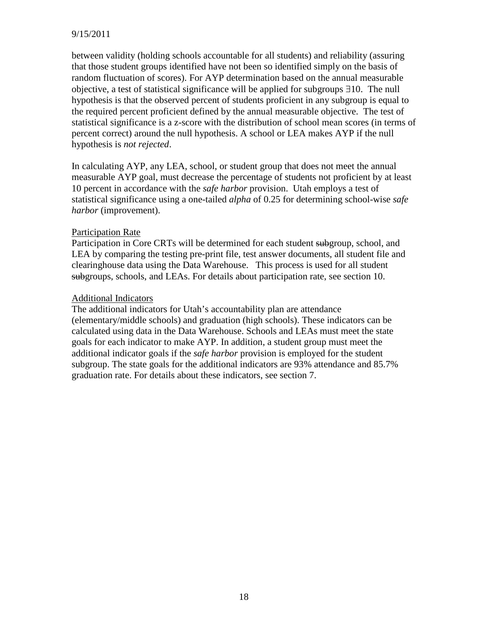#### 9/15/2011

between validity (holding schools accountable for all students) and reliability (assuring that those student groups identified have not been so identified simply on the basis of random fluctuation of scores). For AYP determination based on the annual measurable objective, a test of statistical significance will be applied for subgroups ∃10. The null hypothesis is that the observed percent of students proficient in any subgroup is equal to the required percent proficient defined by the annual measurable objective. The test of statistical significance is a z-score with the distribution of school mean scores (in terms of percent correct) around the null hypothesis. A school or LEA makes AYP if the null hypothesis is *not rejected*.

In calculating AYP, any LEA, school, or student group that does not meet the annual measurable AYP goal, must decrease the percentage of students not proficient by at least 10 percent in accordance with the *safe harbor* provision. Utah employs a test of statistical significance using a one-tailed *alpha* of 0.25 for determining school-wise *safe harbor* (improvement).

#### Participation Rate

Participation in Core CRTs will be determined for each student subgroup, school, and LEA by comparing the testing pre-print file, test answer documents, all student file and clearinghouse data using the Data Warehouse. This process is used for all student subgroups, schools, and LEAs. For details about participation rate, see section 10.

#### Additional Indicators

The additional indicators for Utah's accountability plan are attendance (elementary/middle schools) and graduation (high schools). These indicators can be calculated using data in the Data Warehouse. Schools and LEAs must meet the state goals for each indicator to make AYP. In addition, a student group must meet the additional indicator goals if the *safe harbor* provision is employed for the student subgroup. The state goals for the additional indicators are 93% attendance and 85.7% graduation rate. For details about these indicators, see section 7.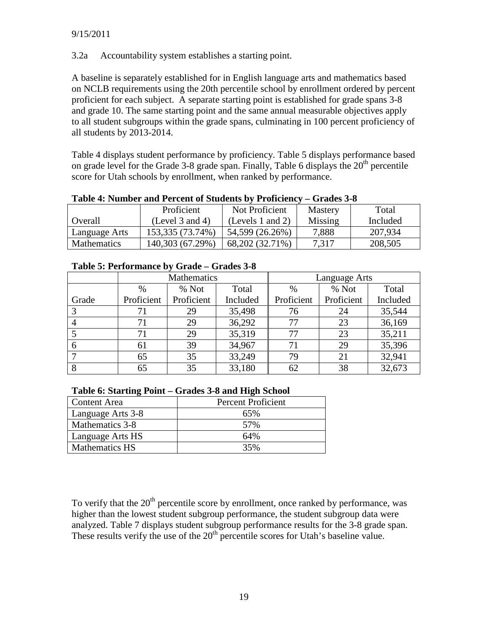3.2a Accountability system establishes a starting point.

A baseline is separately established for in English language arts and mathematics based on NCLB requirements using the 20th percentile school by enrollment ordered by percent proficient for each subject. A separate starting point is established for grade spans 3-8 and grade 10. The same starting point and the same annual measurable objectives apply to all student subgroups within the grade spans, culminating in 100 percent proficiency of all students by 2013-2014.

Table 4 displays student performance by proficiency. Table 5 displays performance based on grade level for the Grade 3-8 grade span. Finally, Table 6 displays the  $20<sup>th</sup>$  percentile score for Utah schools by enrollment, when ranked by performance.

| Table To Fulliber and I creent of Buddenig by Troneight | viauw v v            |                  |                |          |
|---------------------------------------------------------|----------------------|------------------|----------------|----------|
|                                                         | Proficient           | Not Proficient   | <b>Mastery</b> | Total    |
| Overall                                                 | (Level $3$ and $4$ ) | (Levels 1 and 2) | Missing        | Included |
| Language Arts                                           | 153,335 (73.74%)     | 54,599 (26.26%)  | 7,888          | 207,934  |
| <b>Mathematics</b>                                      | 140,303 (67.29%)     | 68,202 (32.71%)  | 7,317          | 208,505  |

**Table 4: Number and Percent of Students by Proficiency – Grades 3-8**

|       | Mathematics |            |          | Language Arts |            |          |  |
|-------|-------------|------------|----------|---------------|------------|----------|--|
|       | $\%$        | % Not      | Total    | $\%$          | % Not      | Total    |  |
| Grade | Proficient  | Proficient | Included | Proficient    | Proficient | Included |  |
|       | 71          | 29         | 35,498   | 76            | 24         | 35,544   |  |
|       | 71          | 29         | 36,292   | 77            | 23         | 36,169   |  |
|       | 71          | 29         | 35,319   | 77            | 23         | 35,211   |  |
| 6     | 61          | 39         | 34,967   | 71            | 29         | 35,396   |  |
|       | 65          | 35         | 33,249   | 79            | 21         | 32,941   |  |
| 8     | 65          | 35         | 33,180   | 62            | 38         | 32,673   |  |

|  | Table 6: Starting Point – Grades 3-8 and High School |  |  |
|--|------------------------------------------------------|--|--|
|  |                                                      |  |  |

| Content Area          | <b>Percent Proficient</b> |
|-----------------------|---------------------------|
| Language Arts 3-8     | 65%                       |
| Mathematics 3-8       | 57%                       |
| Language Arts HS      | 64%                       |
| <b>Mathematics HS</b> | 35%                       |

To verify that the  $20<sup>th</sup>$  percentile score by enrollment, once ranked by performance, was higher than the lowest student subgroup performance, the student subgroup data were analyzed. Table 7 displays student subgroup performance results for the 3-8 grade span. These results verify the use of the  $20<sup>th</sup>$  percentile scores for Utah's baseline value.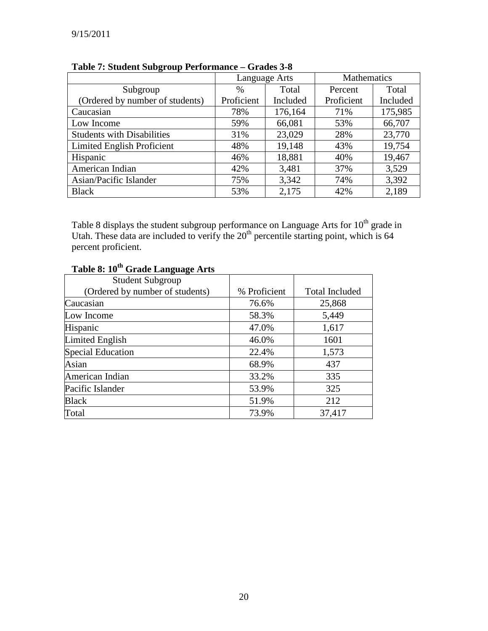|                                   | Language Arts |          | Mathematics |          |  |
|-----------------------------------|---------------|----------|-------------|----------|--|
| Subgroup                          | $\%$          | Total    | Percent     | Total    |  |
| (Ordered by number of students)   | Proficient    | Included | Proficient  | Included |  |
| Caucasian                         | 78%           | 176,164  | 71%         | 175,985  |  |
| Low Income                        | 59%           | 66,081   | 53%         | 66,707   |  |
| <b>Students with Disabilities</b> | 31%           | 23,029   | 28%         | 23,770   |  |
| Limited English Proficient        | 48%           | 19,148   | 43%         | 19,754   |  |
| Hispanic                          | 46%           | 18,881   | 40%         | 19,467   |  |
| American Indian                   | 42%           | 3,481    | 37%         | 3,529    |  |
| Asian/Pacific Islander            | 75%           | 3,342    | 74%         | 3,392    |  |
| <b>Black</b>                      | 53%           | 2,175    | 42%         | 2,189    |  |

**Table 7: Student Subgroup Performance – Grades 3-8**

Table 8 displays the student subgroup performance on Language Arts for  $10^{th}$  grade in Utah. These data are included to verify the  $20<sup>th</sup>$  percentile starting point, which is 64 percent proficient.

| <b>Student Subgroup</b>         |              |                       |
|---------------------------------|--------------|-----------------------|
| (Ordered by number of students) | % Proficient | <b>Total Included</b> |
| Caucasian                       | 76.6%        | 25,868                |
| Low Income                      | 58.3%        | 5,449                 |
| Hispanic                        | 47.0%        | 1,617                 |
| Limited English                 | 46.0%        | 1601                  |
| <b>Special Education</b>        | 22.4%        | 1,573                 |
| Asian                           | 68.9%        | 437                   |
| American Indian                 | 33.2%        | 335                   |
| Pacific Islander                | 53.9%        | 325                   |
| <b>Black</b>                    | 51.9%        | 212                   |
| Total                           | 73.9%        | 37,417                |

# **Table 8: 10th Grade Language Arts**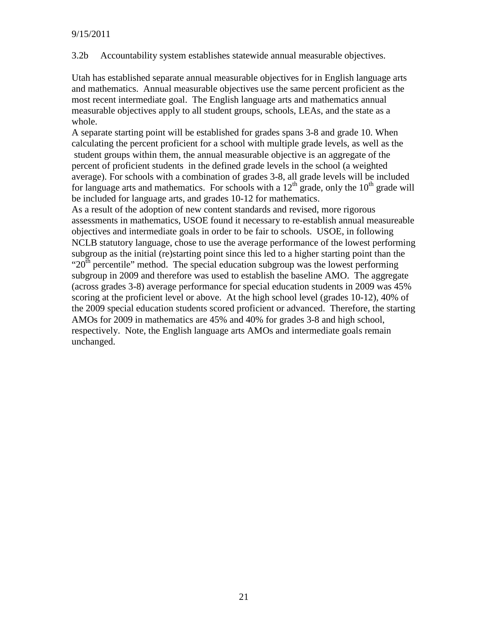3.2b Accountability system establishes statewide annual measurable objectives.

Utah has established separate annual measurable objectives for in English language arts and mathematics. Annual measurable objectives use the same percent proficient as the most recent intermediate goal. The English language arts and mathematics annual measurable objectives apply to all student groups, schools, LEAs, and the state as a whole.

A separate starting point will be established for grades spans 3-8 and grade 10. When calculating the percent proficient for a school with multiple grade levels, as well as the student groups within them, the annual measurable objective is an aggregate of the percent of proficient students in the defined grade levels in the school (a weighted average). For schools with a combination of grades 3-8, all grade levels will be included for language arts and mathematics. For schools with a  $12<sup>th</sup>$  grade, only the  $10<sup>th</sup>$  grade will be included for language arts, and grades 10-12 for mathematics.

As a result of the adoption of new content standards and revised, more rigorous assessments in mathematics, USOE found it necessary to re-establish annual measureable objectives and intermediate goals in order to be fair to schools. USOE, in following NCLB statutory language, chose to use the average performance of the lowest performing subgroup as the initial (re)starting point since this led to a higher starting point than the " $20<sup>th</sup>$  percentile" method. The special education subgroup was the lowest performing subgroup in 2009 and therefore was used to establish the baseline AMO. The aggregate (across grades 3-8) average performance for special education students in 2009 was 45% scoring at the proficient level or above. At the high school level (grades 10-12), 40% of the 2009 special education students scored proficient or advanced. Therefore, the starting AMOs for 2009 in mathematics are 45% and 40% for grades 3-8 and high school, respectively. Note, the English language arts AMOs and intermediate goals remain unchanged.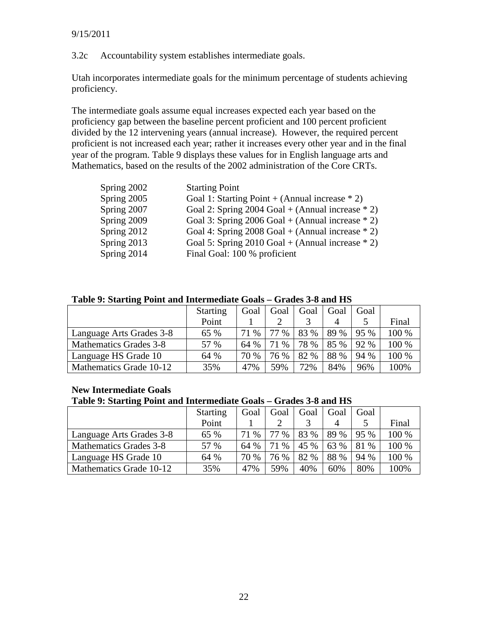3.2c Accountability system establishes intermediate goals.

Utah incorporates intermediate goals for the minimum percentage of students achieving proficiency.

The intermediate goals assume equal increases expected each year based on the proficiency gap between the baseline percent proficient and 100 percent proficient divided by the 12 intervening years (annual increase). However, the required percent proficient is not increased each year; rather it increases every other year and in the final year of the program. Table 9 displays these values for in English language arts and Mathematics, based on the results of the 2002 administration of the Core CRTs.

| Spring 2002 | <b>Starting Point</b>                                |
|-------------|------------------------------------------------------|
| Spring 2005 | Goal 1: Starting Point + (Annual increase $*$ 2)     |
| Spring 2007 | Goal 2: Spring 2004 Goal + (Annual increase $*$ 2)   |
| Spring 2009 | Goal 3: Spring 2006 Goal + (Annual increase $*$ 2)   |
| Spring 2012 | Goal 4: Spring $2008$ Goal + (Annual increase $*$ 2) |
| Spring 2013 | Goal 5: Spring $2010$ Goal + (Annual increase $*$ 2) |
| Spring 2014 | Final Goal: 100 % proficient                         |

| Table 9: Starting Point and Intermediate Goals - Grades 3-8 and HS |  |
|--------------------------------------------------------------------|--|
|--------------------------------------------------------------------|--|

|                          | <b>Starting</b> | Goal       | Goal | Goal | Goal | Goal |       |
|--------------------------|-----------------|------------|------|------|------|------|-------|
|                          | Point           |            |      |      |      |      | Final |
| Language Arts Grades 3-8 | 65 %            | $\%$<br>71 | 77 % | 83 % | 89 % | 95 % | 100 % |
| Mathematics Grades 3-8   | 57 %            | 64 %       | 71 % | 78 % | 85 % | 92 % | 100 % |
| Language HS Grade 10     | 64 %            | 70 %       | 76 % | 82 % | 88 % | 94 % | 100 % |
| Mathematics Grade 10-12  | 35%             | 47%        | 59%  | 72%  | 84%  | 96%  | 100%  |

#### **New Intermediate Goals**

#### **Table 9: Starting Point and Intermediate Goals – Grades 3-8 and HS**

|                          | <b>Starting</b> | Goal    | Goal     | Goal | Goal | Goal    |       |
|--------------------------|-----------------|---------|----------|------|------|---------|-------|
|                          | Point           |         |          |      |      |         | Final |
| Language Arts Grades 3-8 | 65 %            | 71<br>% | $\%$     | 83 % | 89 % | 95 %    | 100 % |
| Mathematics Grades 3-8   | 57 %            | 64 %    | %<br>71. | 45 % | 63 % | 81<br>% | 100 % |
| Language HS Grade 10     | 64 %            | 70 %    | 76 %     | 82 % | 88 % | 94 %    | 100 % |
| Mathematics Grade 10-12  | 35%             | 47%     | 59%      | 40%  | 60%  | 80%     | 100%  |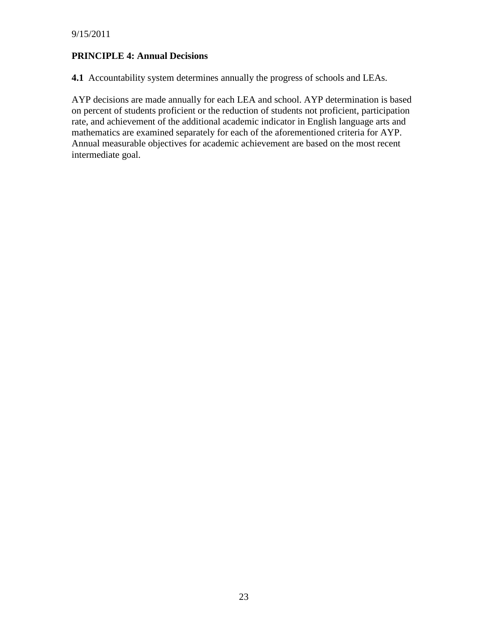#### **PRINCIPLE 4: Annual Decisions**

**4.1** Accountability system determines annually the progress of schools and LEAs.

AYP decisions are made annually for each LEA and school. AYP determination is based on percent of students proficient or the reduction of students not proficient, participation rate, and achievement of the additional academic indicator in English language arts and mathematics are examined separately for each of the aforementioned criteria for AYP. Annual measurable objectives for academic achievement are based on the most recent intermediate goal.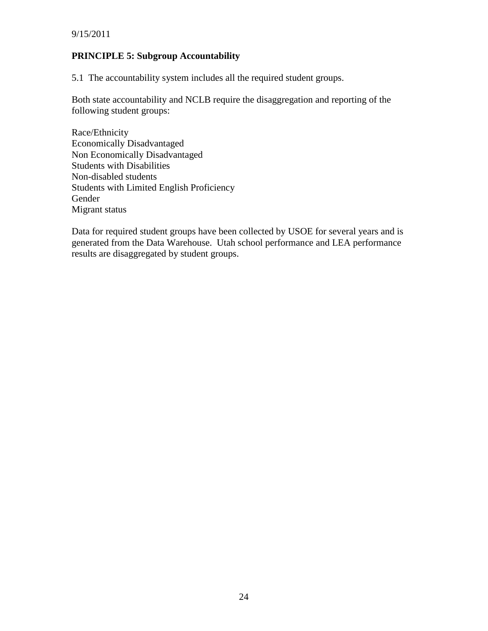#### **PRINCIPLE 5: Subgroup Accountability**

5.1 The accountability system includes all the required student groups.

Both state accountability and NCLB require the disaggregation and reporting of the following student groups:

Race/Ethnicity Economically Disadvantaged Non Economically Disadvantaged Students with Disabilities Non-disabled students Students with Limited English Proficiency Gender Migrant status

Data for required student groups have been collected by USOE for several years and is generated from the Data Warehouse. Utah school performance and LEA performance results are disaggregated by student groups.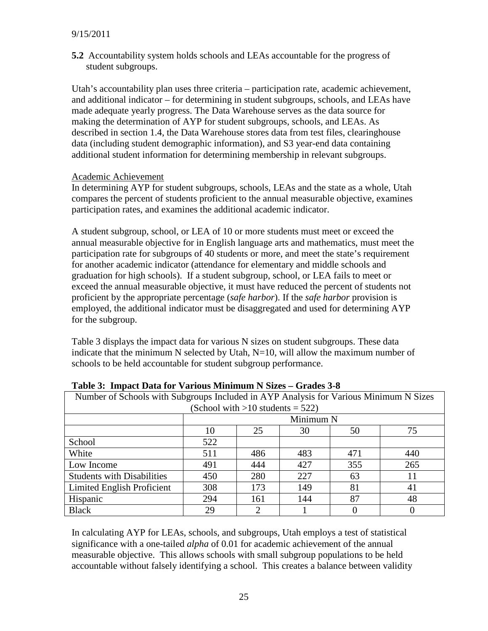**5.2** Accountability system holds schools and LEAs accountable for the progress of student subgroups.

Utah's accountability plan uses three criteria – participation rate, academic achievement, and additional indicator – for determining in student subgroups, schools, and LEAs have made adequate yearly progress. The Data Warehouse serves as the data source for making the determination of AYP for student subgroups, schools, and LEAs. As described in section 1.4, the Data Warehouse stores data from test files, clearinghouse data (including student demographic information), and S3 year-end data containing additional student information for determining membership in relevant subgroups.

#### Academic Achievement

In determining AYP for student subgroups, schools, LEAs and the state as a whole, Utah compares the percent of students proficient to the annual measurable objective, examines participation rates, and examines the additional academic indicator.

A student subgroup, school, or LEA of 10 or more students must meet or exceed the annual measurable objective for in English language arts and mathematics, must meet the participation rate for subgroups of 40 students or more, and meet the state's requirement for another academic indicator (attendance for elementary and middle schools and graduation for high schools). If a student subgroup, school, or LEA fails to meet or exceed the annual measurable objective, it must have reduced the percent of students not proficient by the appropriate percentage (*safe harbor*). If the *safe harbor* provision is employed, the additional indicator must be disaggregated and used for determining AYP for the subgroup.

Table 3 displays the impact data for various N sizes on student subgroups. These data indicate that the minimum N selected by Utah,  $N=10$ , will allow the maximum number of schools to be held accountable for student subgroup performance.

| Tuble of Thipuct Dutu for Turious Millimetri Prince                                   |           |     |     |     |     |  |
|---------------------------------------------------------------------------------------|-----------|-----|-----|-----|-----|--|
| Number of Schools with Subgroups Included in AYP Analysis for Various Minimum N Sizes |           |     |     |     |     |  |
| (School with $>10$ students = 522)                                                    |           |     |     |     |     |  |
|                                                                                       | Minimum N |     |     |     |     |  |
|                                                                                       | 10        | 25  | 30  | 50  | 75  |  |
| School                                                                                | 522       |     |     |     |     |  |
| White                                                                                 | 511       | 486 | 483 | 471 | 440 |  |
| Low Income                                                                            | 491       | 444 | 427 | 355 | 265 |  |
| <b>Students with Disabilities</b>                                                     | 450       | 280 | 227 | 63  | 11  |  |
| Limited English Proficient                                                            | 308       | 173 | 149 | 81  | 41  |  |
| Hispanic                                                                              | 294       | 161 | 144 | 87  | 48  |  |
| <b>Black</b>                                                                          | 29        | 2   |     |     |     |  |

**Table 3: Impact Data for Various Minimum N Sizes – Grades 3-8**

In calculating AYP for LEAs, schools, and subgroups, Utah employs a test of statistical significance with a one-tailed *alpha* of 0.01 for academic achievement of the annual measurable objective. This allows schools with small subgroup populations to be held accountable without falsely identifying a school. This creates a balance between validity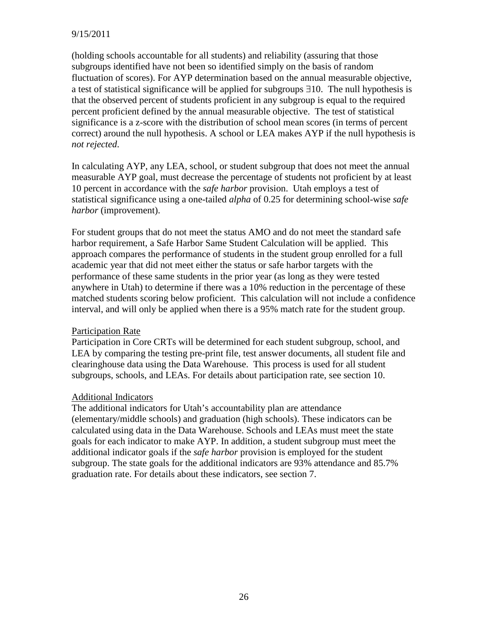#### 9/15/2011

(holding schools accountable for all students) and reliability (assuring that those subgroups identified have not been so identified simply on the basis of random fluctuation of scores). For AYP determination based on the annual measurable objective, a test of statistical significance will be applied for subgroups ∃10. The null hypothesis is that the observed percent of students proficient in any subgroup is equal to the required percent proficient defined by the annual measurable objective. The test of statistical significance is a z-score with the distribution of school mean scores (in terms of percent correct) around the null hypothesis. A school or LEA makes AYP if the null hypothesis is *not rejected*.

In calculating AYP, any LEA, school, or student subgroup that does not meet the annual measurable AYP goal, must decrease the percentage of students not proficient by at least 10 percent in accordance with the *safe harbor* provision. Utah employs a test of statistical significance using a one-tailed *alpha* of 0.25 for determining school-wise *safe harbor* (improvement).

For student groups that do not meet the status AMO and do not meet the standard safe harbor requirement, a Safe Harbor Same Student Calculation will be applied. This approach compares the performance of students in the student group enrolled for a full academic year that did not meet either the status or safe harbor targets with the performance of these same students in the prior year (as long as they were tested anywhere in Utah) to determine if there was a 10% reduction in the percentage of these matched students scoring below proficient. This calculation will not include a confidence interval, and will only be applied when there is a 95% match rate for the student group.

#### Participation Rate

Participation in Core CRTs will be determined for each student subgroup, school, and LEA by comparing the testing pre-print file, test answer documents, all student file and clearinghouse data using the Data Warehouse. This process is used for all student subgroups, schools, and LEAs. For details about participation rate, see section 10.

#### Additional Indicators

The additional indicators for Utah's accountability plan are attendance (elementary/middle schools) and graduation (high schools). These indicators can be calculated using data in the Data Warehouse. Schools and LEAs must meet the state goals for each indicator to make AYP. In addition, a student subgroup must meet the additional indicator goals if the *safe harbor* provision is employed for the student subgroup. The state goals for the additional indicators are 93% attendance and 85.7% graduation rate. For details about these indicators, see section 7.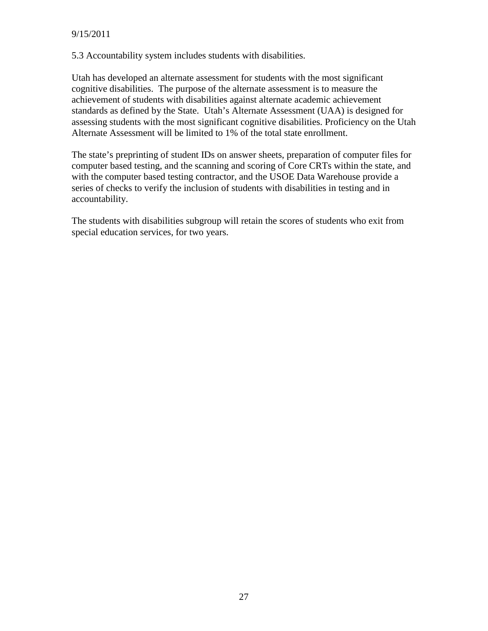5.3 Accountability system includes students with disabilities.

Utah has developed an alternate assessment for students with the most significant cognitive disabilities. The purpose of the alternate assessment is to measure the achievement of students with disabilities against alternate academic achievement standards as defined by the State. Utah's Alternate Assessment (UAA) is designed for assessing students with the most significant cognitive disabilities. Proficiency on the Utah Alternate Assessment will be limited to 1% of the total state enrollment.

The state's preprinting of student IDs on answer sheets, preparation of computer files for computer based testing, and the scanning and scoring of Core CRTs within the state, and with the computer based testing contractor, and the USOE Data Warehouse provide a series of checks to verify the inclusion of students with disabilities in testing and in accountability.

The students with disabilities subgroup will retain the scores of students who exit from special education services, for two years.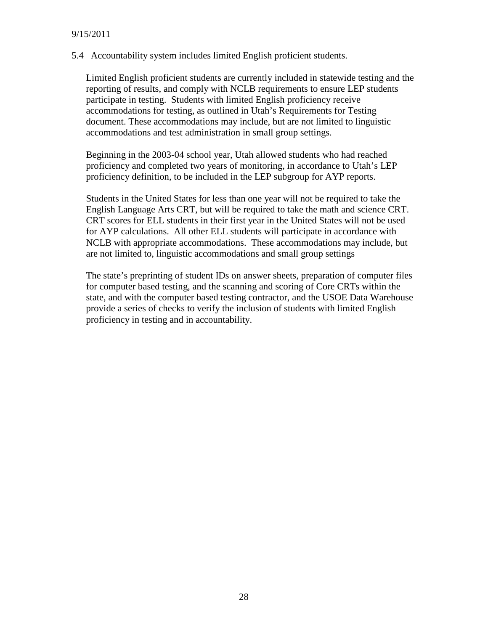5.4 Accountability system includes limited English proficient students.

Limited English proficient students are currently included in statewide testing and the reporting of results, and comply with NCLB requirements to ensure LEP students participate in testing. Students with limited English proficiency receive accommodations for testing, as outlined in Utah's Requirements for Testing document. These accommodations may include, but are not limited to linguistic accommodations and test administration in small group settings.

Beginning in the 2003-04 school year, Utah allowed students who had reached proficiency and completed two years of monitoring, in accordance to Utah's LEP proficiency definition, to be included in the LEP subgroup for AYP reports.

Students in the United States for less than one year will not be required to take the English Language Arts CRT, but will be required to take the math and science CRT. CRT scores for ELL students in their first year in the United States will not be used for AYP calculations. All other ELL students will participate in accordance with NCLB with appropriate accommodations. These accommodations may include, but are not limited to, linguistic accommodations and small group settings

The state's preprinting of student IDs on answer sheets, preparation of computer files for computer based testing, and the scanning and scoring of Core CRTs within the state, and with the computer based testing contractor, and the USOE Data Warehouse provide a series of checks to verify the inclusion of students with limited English proficiency in testing and in accountability.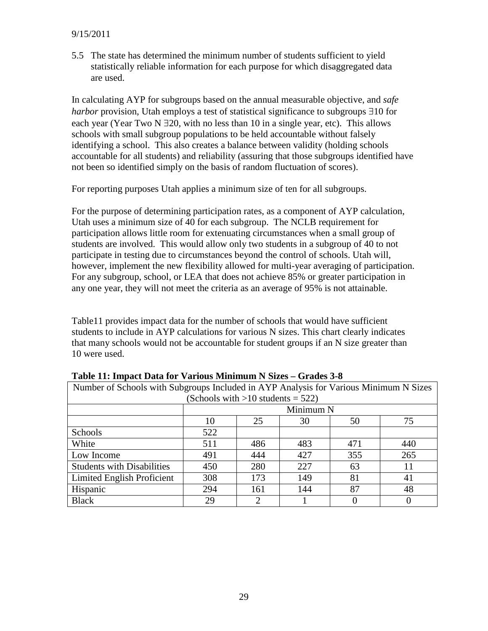#### 9/15/2011

5.5 The state has determined the minimum number of students sufficient to yield statistically reliable information for each purpose for which disaggregated data are used.

In calculating AYP for subgroups based on the annual measurable objective, and *safe harbor* provision, Utah employs a test of statistical significance to subgroups ∃10 for each year (Year Two N ∃20, with no less than 10 in a single year, etc). This allows schools with small subgroup populations to be held accountable without falsely identifying a school. This also creates a balance between validity (holding schools accountable for all students) and reliability (assuring that those subgroups identified have not been so identified simply on the basis of random fluctuation of scores).

For reporting purposes Utah applies a minimum size of ten for all subgroups.

For the purpose of determining participation rates, as a component of AYP calculation, Utah uses a minimum size of 40 for each subgroup. The NCLB requirement for participation allows little room for extenuating circumstances when a small group of students are involved. This would allow only two students in a subgroup of 40 to not participate in testing due to circumstances beyond the control of schools. Utah will, however, implement the new flexibility allowed for multi-year averaging of participation. For any subgroup, school, or LEA that does not achieve 85% or greater participation in any one year, they will not meet the criteria as an average of 95% is not attainable.

Table11 provides impact data for the number of schools that would have sufficient students to include in AYP calculations for various N sizes. This chart clearly indicates that many schools would not be accountable for student groups if an N size greater than 10 were used.

| Number of Schools with Subgroups Included in AYP Analysis for Various Minimum N Sizes |                                 |  |  |  |  |  |  |
|---------------------------------------------------------------------------------------|---------------------------------|--|--|--|--|--|--|
| (Schools with $>10$ students = 522)                                                   |                                 |  |  |  |  |  |  |
|                                                                                       | Minimum N                       |  |  |  |  |  |  |
|                                                                                       | 75<br>10<br>25<br>30<br>50      |  |  |  |  |  |  |
| Schools                                                                               | 522                             |  |  |  |  |  |  |
| White                                                                                 | 486<br>511<br>483<br>440<br>471 |  |  |  |  |  |  |
| Low Income                                                                            | 427<br>355<br>265<br>491<br>444 |  |  |  |  |  |  |
| <b>Students with Disabilities</b>                                                     | 227<br>280<br>450<br>63         |  |  |  |  |  |  |
| Limited English Proficient                                                            | 173<br>149<br>81<br>308<br>41   |  |  |  |  |  |  |
| Hispanic                                                                              | 87<br>144<br>294<br>48<br>161   |  |  |  |  |  |  |
| <b>Black</b>                                                                          | $\overline{2}$<br>29            |  |  |  |  |  |  |

**Table 11: Impact Data for Various Minimum N Sizes – Grades 3-8**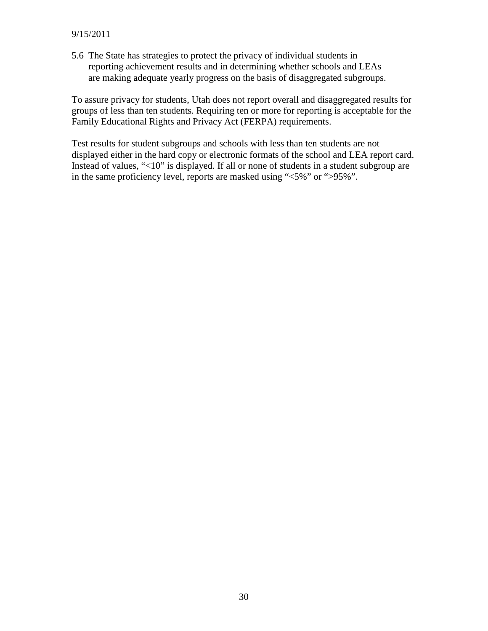5.6 The State has strategies to protect the privacy of individual students in reporting achievement results and in determining whether schools and LEAs are making adequate yearly progress on the basis of disaggregated subgroups.

To assure privacy for students, Utah does not report overall and disaggregated results for groups of less than ten students. Requiring ten or more for reporting is acceptable for the Family Educational Rights and Privacy Act (FERPA) requirements.

Test results for student subgroups and schools with less than ten students are not displayed either in the hard copy or electronic formats of the school and LEA report card. Instead of values, "<10" is displayed. If all or none of students in a student subgroup are in the same proficiency level, reports are masked using "<5%" or ">95%".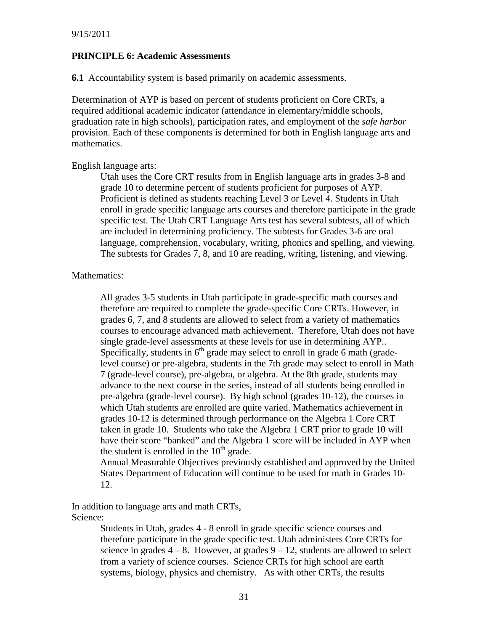#### **PRINCIPLE 6: Academic Assessments**

**6.1** Accountability system is based primarily on academic assessments.

Determination of AYP is based on percent of students proficient on Core CRTs, a required additional academic indicator (attendance in elementary/middle schools, graduation rate in high schools), participation rates, and employment of the *safe harbor* provision. Each of these components is determined for both in English language arts and mathematics.

#### English language arts:

Utah uses the Core CRT results from in English language arts in grades 3-8 and grade 10 to determine percent of students proficient for purposes of AYP. Proficient is defined as students reaching Level 3 or Level 4. Students in Utah enroll in grade specific language arts courses and therefore participate in the grade specific test. The Utah CRT Language Arts test has several subtests, all of which are included in determining proficiency. The subtests for Grades 3-6 are oral language, comprehension, vocabulary, writing, phonics and spelling, and viewing. The subtests for Grades 7, 8, and 10 are reading, writing, listening, and viewing.

#### Mathematics:

All grades 3-5 students in Utah participate in grade-specific math courses and therefore are required to complete the grade-specific Core CRTs. However, in grades 6, 7, and 8 students are allowed to select from a variety of mathematics courses to encourage advanced math achievement. Therefore, Utah does not have single grade-level assessments at these levels for use in determining AYP.. Specifically, students in  $6<sup>th</sup>$  grade may select to enroll in grade 6 math (gradelevel course) or pre-algebra, students in the 7th grade may select to enroll in Math 7 (grade-level course), pre-algebra, or algebra. At the 8th grade, students may advance to the next course in the series, instead of all students being enrolled in pre-algebra (grade-level course). By high school (grades 10-12), the courses in which Utah students are enrolled are quite varied. Mathematics achievement in grades 10-12 is determined through performance on the Algebra 1 Core CRT taken in grade 10. Students who take the Algebra 1 CRT prior to grade 10 will have their score "banked" and the Algebra 1 score will be included in AYP when the student is enrolled in the  $10<sup>th</sup>$  grade.

Annual Measurable Objectives previously established and approved by the United States Department of Education will continue to be used for math in Grades 10- 12.

In addition to language arts and math CRTs, Science:

> Students in Utah, grades 4 - 8 enroll in grade specific science courses and therefore participate in the grade specific test. Utah administers Core CRTs for science in grades  $4 - 8$ . However, at grades  $9 - 12$ , students are allowed to select from a variety of science courses. Science CRTs for high school are earth systems, biology, physics and chemistry. As with other CRTs, the results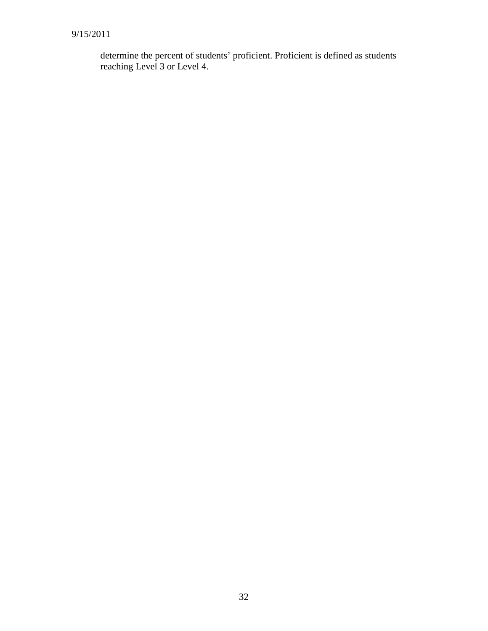determine the percent of students' proficient. Proficient is defined as students reaching Level 3 or Level 4.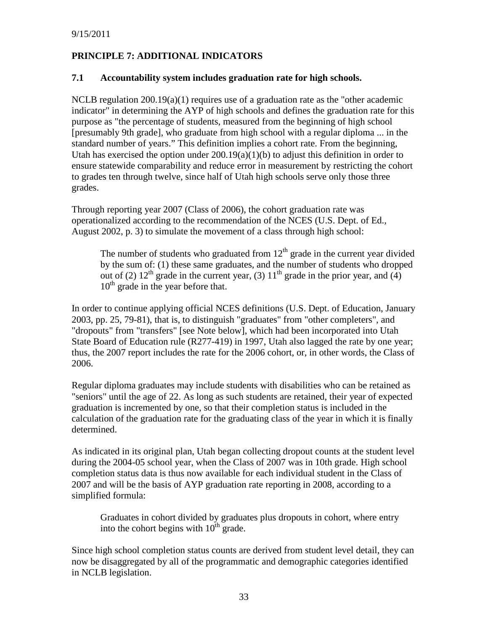# **PRINCIPLE 7: ADDITIONAL INDICATORS**

#### **7.1 Accountability system includes graduation rate for high schools.**

NCLB regulation  $200.19(a)(1)$  requires use of a graduation rate as the "other academic indicator" in determining the AYP of high schools and defines the graduation rate for this purpose as "the percentage of students, measured from the beginning of high school [presumably 9th grade], who graduate from high school with a regular diploma ... in the standard number of years." This definition implies a cohort rate. From the beginning, Utah has exercised the option under  $200.19(a)(1)(b)$  to adjust this definition in order to ensure statewide comparability and reduce error in measurement by restricting the cohort to grades ten through twelve, since half of Utah high schools serve only those three grades.

Through reporting year 2007 (Class of 2006), the cohort graduation rate was operationalized according to the recommendation of the NCES (U.S. Dept. of Ed., August 2002, p. 3) to simulate the movement of a class through high school:

The number of students who graduated from  $12<sup>th</sup>$  grade in the current year divided by the sum of: (1) these same graduates, and the number of students who dropped out of (2)  $12<sup>th</sup>$  grade in the current year, (3)  $11<sup>th</sup>$  grade in the prior year, and (4) 10<sup>th</sup> grade in the year before that.

In order to continue applying official NCES definitions (U.S. Dept. of Education, January 2003, pp. 25, 79-81), that is, to distinguish "graduates" from "other completers", and "dropouts" from "transfers" [see Note below], which had been incorporated into Utah State Board of Education rule (R277-419) in 1997, Utah also lagged the rate by one year; thus, the 2007 report includes the rate for the 2006 cohort, or, in other words, the Class of 2006.

Regular diploma graduates may include students with disabilities who can be retained as "seniors" until the age of 22. As long as such students are retained, their year of expected graduation is incremented by one, so that their completion status is included in the calculation of the graduation rate for the graduating class of the year in which it is finally determined.

As indicated in its original plan, Utah began collecting dropout counts at the student level during the 2004-05 school year, when the Class of 2007 was in 10th grade. High school completion status data is thus now available for each individual student in the Class of 2007 and will be the basis of AYP graduation rate reporting in 2008, according to a simplified formula:

Graduates in cohort divided by graduates plus dropouts in cohort, where entry into the cohort begins with  $10^{th}$  grade.

Since high school completion status counts are derived from student level detail, they can now be disaggregated by all of the programmatic and demographic categories identified in NCLB legislation.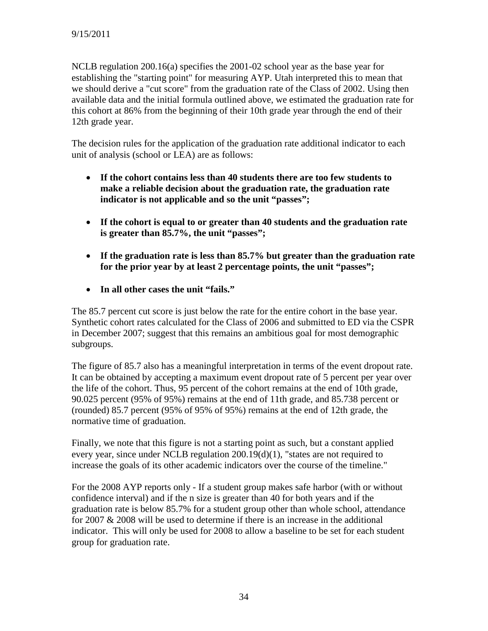NCLB regulation 200.16(a) specifies the 2001-02 school year as the base year for establishing the "starting point" for measuring AYP. Utah interpreted this to mean that we should derive a "cut score" from the graduation rate of the Class of 2002. Using then available data and the initial formula outlined above, we estimated the graduation rate for this cohort at 86% from the beginning of their 10th grade year through the end of their 12th grade year.

The decision rules for the application of the graduation rate additional indicator to each unit of analysis (school or LEA) are as follows:

- **If the cohort contains less than 40 students there are too few students to make a reliable decision about the graduation rate, the graduation rate indicator is not applicable and so the unit "passes";**
- **If the cohort is equal to or greater than 40 students and the graduation rate is greater than 85.7%, the unit "passes";**
- **If the graduation rate is less than 85.7% but greater than the graduation rate for the prior year by at least 2 percentage points, the unit "passes";**
- **In all other cases the unit "fails."**

The 85.7 percent cut score is just below the rate for the entire cohort in the base year. Synthetic cohort rates calculated for the Class of 2006 and submitted to ED via the CSPR in December 2007; suggest that this remains an ambitious goal for most demographic subgroups.

The figure of 85.7 also has a meaningful interpretation in terms of the event dropout rate. It can be obtained by accepting a maximum event dropout rate of 5 percent per year over the life of the cohort. Thus, 95 percent of the cohort remains at the end of 10th grade, 90.025 percent (95% of 95%) remains at the end of 11th grade, and 85.738 percent or (rounded) 85.7 percent (95% of 95% of 95%) remains at the end of 12th grade, the normative time of graduation.

Finally, we note that this figure is not a starting point as such, but a constant applied every year, since under NCLB regulation 200.19(d)(1), "states are not required to increase the goals of its other academic indicators over the course of the timeline."

For the 2008 AYP reports only - If a student group makes safe harbor (with or without confidence interval) and if the n size is greater than 40 for both years and if the graduation rate is below 85.7% for a student group other than whole school, attendance for 2007 & 2008 will be used to determine if there is an increase in the additional indicator. This will only be used for 2008 to allow a baseline to be set for each student group for graduation rate.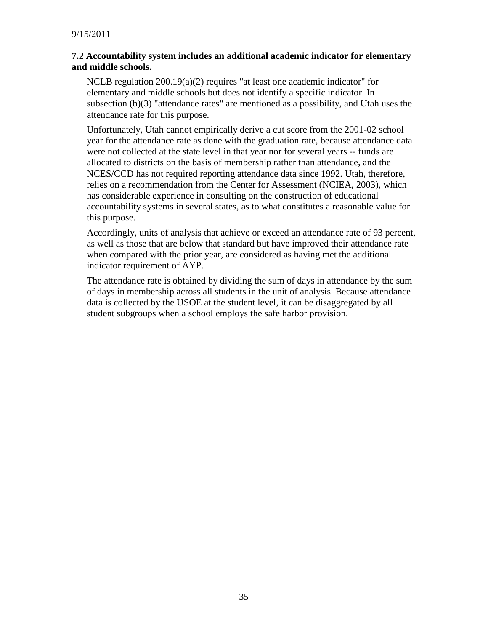#### **7.2 Accountability system includes an additional academic indicator for elementary and middle schools.**

NCLB regulation 200.19(a)(2) requires "at least one academic indicator" for elementary and middle schools but does not identify a specific indicator. In subsection (b)(3) "attendance rates" are mentioned as a possibility, and Utah uses the attendance rate for this purpose.

Unfortunately, Utah cannot empirically derive a cut score from the 2001-02 school year for the attendance rate as done with the graduation rate, because attendance data were not collected at the state level in that year nor for several years -- funds are allocated to districts on the basis of membership rather than attendance, and the NCES/CCD has not required reporting attendance data since 1992. Utah, therefore, relies on a recommendation from the Center for Assessment (NCIEA, 2003), which has considerable experience in consulting on the construction of educational accountability systems in several states, as to what constitutes a reasonable value for this purpose.

Accordingly, units of analysis that achieve or exceed an attendance rate of 93 percent, as well as those that are below that standard but have improved their attendance rate when compared with the prior year, are considered as having met the additional indicator requirement of AYP.

The attendance rate is obtained by dividing the sum of days in attendance by the sum of days in membership across all students in the unit of analysis. Because attendance data is collected by the USOE at the student level, it can be disaggregated by all student subgroups when a school employs the safe harbor provision.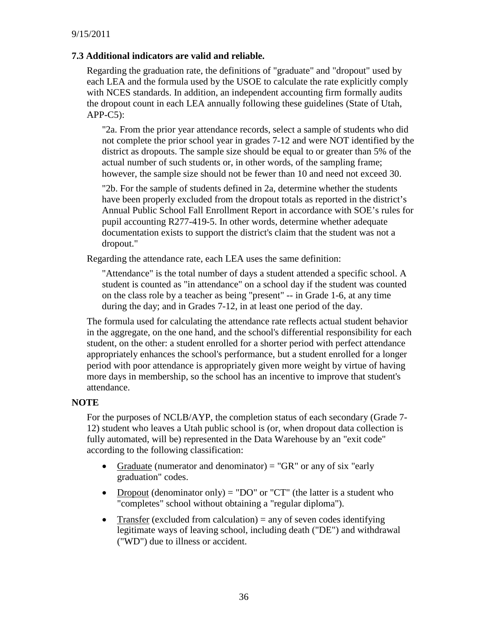#### **7.3 Additional indicators are valid and reliable.**

Regarding the graduation rate, the definitions of "graduate" and "dropout" used by each LEA and the formula used by the USOE to calculate the rate explicitly comply with NCES standards. In addition, an independent accounting firm formally audits the dropout count in each LEA annually following these guidelines (State of Utah, APP-C5):

"2a. From the prior year attendance records, select a sample of students who did not complete the prior school year in grades 7-12 and were NOT identified by the district as dropouts. The sample size should be equal to or greater than 5% of the actual number of such students or, in other words, of the sampling frame; however, the sample size should not be fewer than 10 and need not exceed 30.

"2b. For the sample of students defined in 2a, determine whether the students have been properly excluded from the dropout totals as reported in the district's Annual Public School Fall Enrollment Report in accordance with SOE's rules for pupil accounting R277-419-5. In other words, determine whether adequate documentation exists to support the district's claim that the student was not a dropout."

Regarding the attendance rate, each LEA uses the same definition:

"Attendance" is the total number of days a student attended a specific school. A student is counted as "in attendance" on a school day if the student was counted on the class role by a teacher as being "present" -- in Grade 1-6, at any time during the day; and in Grades 7-12, in at least one period of the day.

The formula used for calculating the attendance rate reflects actual student behavior in the aggregate, on the one hand, and the school's differential responsibility for each student, on the other: a student enrolled for a shorter period with perfect attendance appropriately enhances the school's performance, but a student enrolled for a longer period with poor attendance is appropriately given more weight by virtue of having more days in membership, so the school has an incentive to improve that student's attendance.

#### **NOTE**

For the purposes of NCLB/AYP, the completion status of each secondary (Grade 7- 12) student who leaves a Utah public school is (or, when dropout data collection is fully automated, will be) represented in the Data Warehouse by an "exit code" according to the following classification:

- Graduate (numerator and denominator)  $=$  "GR" or any of six "early graduation" codes.
- Dropout (denominator only) = "DO" or "CT" (the latter is a student who "completes" school without obtaining a "regular diploma").
- Transfer (excluded from calculation)  $=$  any of seven codes identifying legitimate ways of leaving school, including death ("DE") and withdrawal ("WD") due to illness or accident.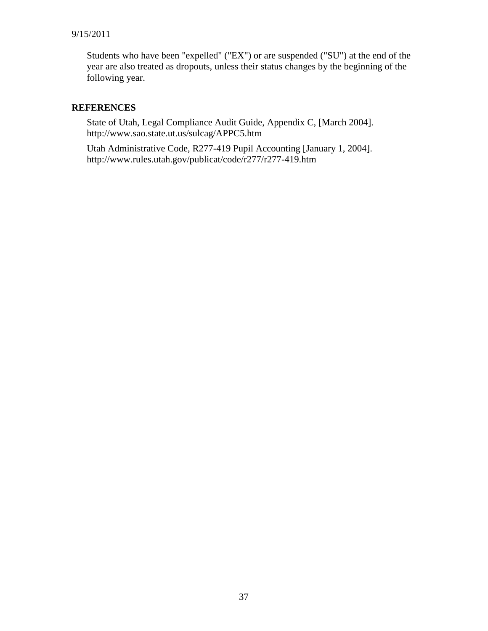#### 9/15/2011

Students who have been "expelled" ("EX") or are suspended ("SU") at the end of the year are also treated as dropouts, unless their status changes by the beginning of the following year.

#### **REFERENCES**

State of Utah, Legal Compliance Audit Guide, Appendix C, [March 2004]. http://www.sao.state.ut.us/sulcag/APPC5.htm

Utah Administrative Code, R277-419 Pupil Accounting [January 1, 2004]. http://www.rules.utah.gov/publicat/code/r277/r277-419.htm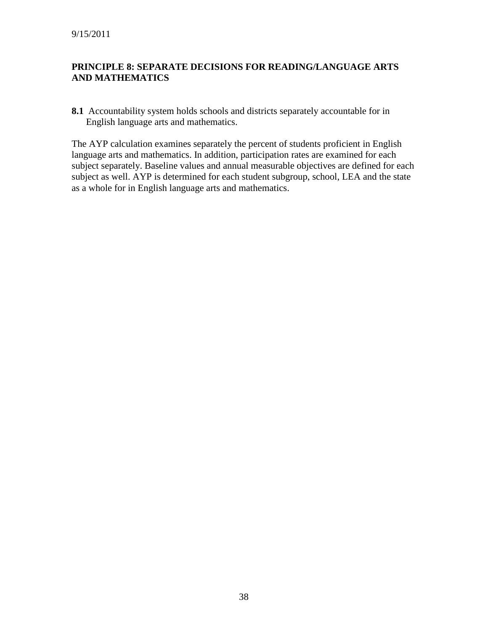#### **PRINCIPLE 8: SEPARATE DECISIONS FOR READING/LANGUAGE ARTS AND MATHEMATICS**

**8.1** Accountability system holds schools and districts separately accountable for in English language arts and mathematics.

The AYP calculation examines separately the percent of students proficient in English language arts and mathematics. In addition, participation rates are examined for each subject separately. Baseline values and annual measurable objectives are defined for each subject as well. AYP is determined for each student subgroup, school, LEA and the state as a whole for in English language arts and mathematics.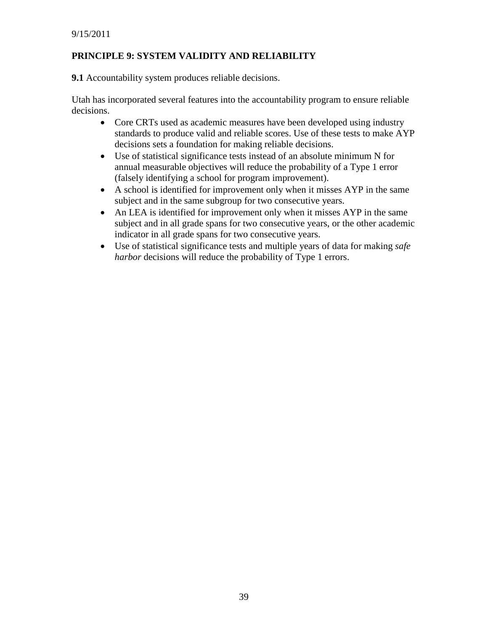## **PRINCIPLE 9: SYSTEM VALIDITY AND RELIABILITY**

**9.1** Accountability system produces reliable decisions.

Utah has incorporated several features into the accountability program to ensure reliable decisions.

- Core CRTs used as academic measures have been developed using industry standards to produce valid and reliable scores. Use of these tests to make AYP decisions sets a foundation for making reliable decisions.
- Use of statistical significance tests instead of an absolute minimum N for annual measurable objectives will reduce the probability of a Type 1 error (falsely identifying a school for program improvement).
- A school is identified for improvement only when it misses AYP in the same subject and in the same subgroup for two consecutive years.
- An LEA is identified for improvement only when it misses AYP in the same subject and in all grade spans for two consecutive years, or the other academic indicator in all grade spans for two consecutive years.
- Use of statistical significance tests and multiple years of data for making *safe harbor* decisions will reduce the probability of Type 1 errors.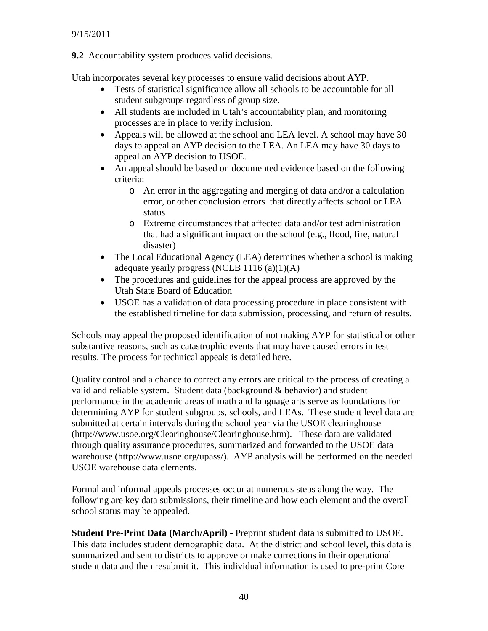**9.2** Accountability system produces valid decisions.

Utah incorporates several key processes to ensure valid decisions about AYP.

- Tests of statistical significance allow all schools to be accountable for all student subgroups regardless of group size.
- All students are included in Utah's accountability plan, and monitoring processes are in place to verify inclusion.
- Appeals will be allowed at the school and LEA level. A school may have 30 days to appeal an AYP decision to the LEA. An LEA may have 30 days to appeal an AYP decision to USOE.
- An appeal should be based on documented evidence based on the following criteria:
	- o An error in the aggregating and merging of data and/or a calculation error, or other conclusion errors that directly affects school or LEA status
	- o Extreme circumstances that affected data and/or test administration that had a significant impact on the school (e.g., flood, fire, natural disaster)
- The Local Educational Agency (LEA) determines whether a school is making adequate yearly progress (NCLB  $1116(a)(1)(A)$
- The procedures and guidelines for the appeal process are approved by the Utah State Board of Education
- USOE has a validation of data processing procedure in place consistent with the established timeline for data submission, processing, and return of results.

Schools may appeal the proposed identification of not making AYP for statistical or other substantive reasons, such as catastrophic events that may have caused errors in test results. The process for technical appeals is detailed here.

Quality control and a chance to correct any errors are critical to the process of creating a valid and reliable system. Student data (background & behavior) and student performance in the academic areas of math and language arts serve as foundations for determining AYP for student subgroups, schools, and LEAs. These student level data are submitted at certain intervals during the school year via the USOE clearinghouse (http://www.usoe.org/Clearinghouse/Clearinghouse.htm). These data are validated through quality assurance procedures, summarized and forwarded to the USOE data warehouse (http://www.usoe.org/upass/). AYP analysis will be performed on the needed USOE warehouse data elements.

Formal and informal appeals processes occur at numerous steps along the way. The following are key data submissions, their timeline and how each element and the overall school status may be appealed.

**Student Pre-Print Data (March/April)** - Preprint student data is submitted to USOE. This data includes student demographic data. At the district and school level, this data is summarized and sent to districts to approve or make corrections in their operational student data and then resubmit it. This individual information is used to pre-print Core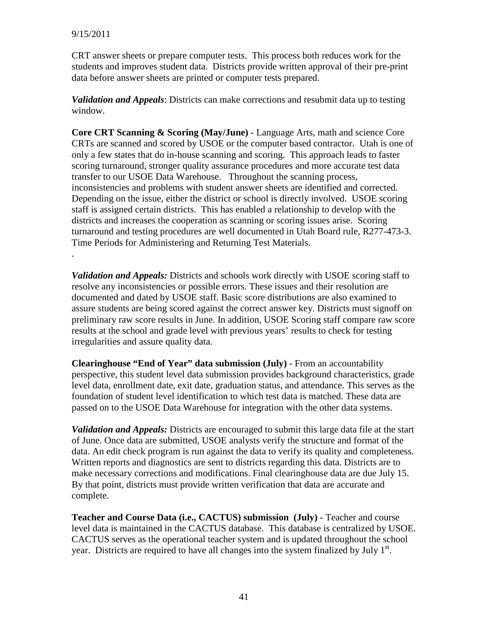.

CRT answer sheets or prepare computer tests. This process both reduces work for the students and improves student data. Districts provide written approval of their pre-print data before answer sheets are printed or computer tests prepared.

*Validation and Appeals*: Districts can make corrections and resubmit data up to testing window.

**Core CRT Scanning & Scoring (May/June)** - Language Arts, math and science Core CRTs are scanned and scored by USOE or the computer based contractor. Utah is one of only a few states that do in-house scanning and scoring. This approach leads to faster scoring turnaround, stronger quality assurance procedures and more accurate test data transfer to our USOE Data Warehouse. Throughout the scanning process, inconsistencies and problems with student answer sheets are identified and corrected. Depending on the issue, either the district or school is directly involved. USOE scoring staff is assigned certain districts. This has enabled a relationship to develop with the districts and increases the cooperation as scanning or scoring issues arise. Scoring turnaround and testing procedures are well documented in Utah Board rule, R277-473-3. Time Periods for Administering and Returning Test Materials.

*Validation and Appeals:* Districts and schools work directly with USOE scoring staff to resolve any inconsistencies or possible errors. These issues and their resolution are documented and dated by USOE staff. Basic score distributions are also examined to assure students are being scored against the correct answer key. Districts must signoff on preliminary raw score results in June. In addition, USOE Scoring staff compare raw score results at the school and grade level with previous years' results to check for testing irregularities and assure quality data.

**Clearinghouse "End of Year" data submission (July)** - From an accountability perspective, this student level data submission provides background characteristics, grade level data, enrollment date, exit date, graduation status, and attendance. This serves as the foundation of student level identification to which test data is matched. These data are passed on to the USOE Data Warehouse for integration with the other data systems.

*Validation and Appeals:* Districts are encouraged to submit this large data file at the start of June. Once data are submitted, USOE analysts verify the structure and format of the data. An edit check program is run against the data to verify its quality and completeness. Written reports and diagnostics are sent to districts regarding this data. Districts are to make necessary corrections and modifications. Final clearinghouse data are due July 15. By that point, districts must provide written verification that data are accurate and complete.

**Teacher and Course Data (i.e., CACTUS) submission (July)** - Teacher and course level data is maintained in the CACTUS database. This database is centralized by USOE. CACTUS serves as the operational teacher system and is updated throughout the school year. Districts are required to have all changes into the system finalized by July  $1<sup>st</sup>$ .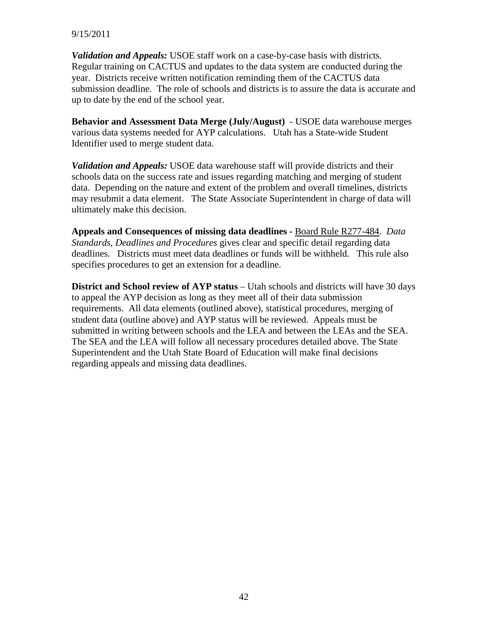#### 9/15/2011

*Validation and Appeals:* USOE staff work on a case-by-case basis with districts. Regular training on CACTUS and updates to the data system are conducted during the year. Districts receive written notification reminding them of the CACTUS data submission deadline. The role of schools and districts is to assure the data is accurate and up to date by the end of the school year.

**Behavior and Assessment Data Merge (July/August)** - USOE data warehouse merges various data systems needed for AYP calculations. Utah has a State-wide Student Identifier used to merge student data.

*Validation and Appeals:* USOE data warehouse staff will provide districts and their schools data on the success rate and issues regarding matching and merging of student data. Depending on the nature and extent of the problem and overall timelines, districts may resubmit a data element. The State Associate Superintendent in charge of data will ultimately make this decision.

**Appeals and Consequences of missing data deadlines -** Board Rule R277-484. *Data Standards, Deadlines and Procedures* gives clear and specific detail regarding data deadlines. Districts must meet data deadlines or funds will be withheld. This rule also specifies procedures to get an extension for a deadline.

**District and School review of AYP status** – Utah schools and districts will have 30 days to appeal the AYP decision as long as they meet all of their data submission requirements. All data elements (outlined above), statistical procedures, merging of student data (outline above) and AYP status will be reviewed. Appeals must be submitted in writing between schools and the LEA and between the LEAs and the SEA. The SEA and the LEA will follow all necessary procedures detailed above. The State Superintendent and the Utah State Board of Education will make final decisions regarding appeals and missing data deadlines.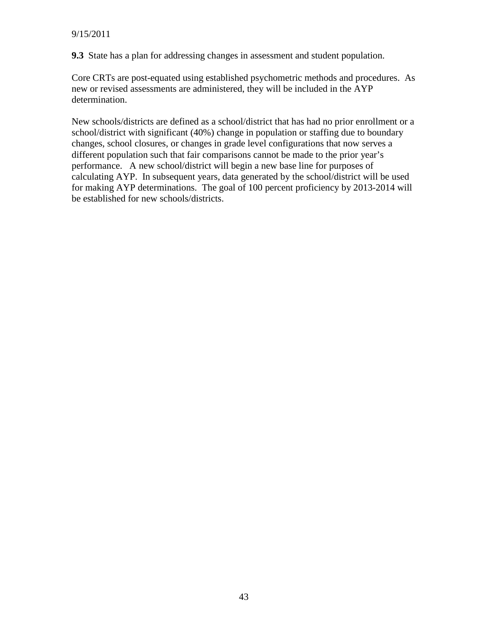**9.3** State has a plan for addressing changes in assessment and student population.

Core CRTs are post-equated using established psychometric methods and procedures. As new or revised assessments are administered, they will be included in the AYP determination.

New schools/districts are defined as a school/district that has had no prior enrollment or a school/district with significant (40%) change in population or staffing due to boundary changes, school closures, or changes in grade level configurations that now serves a different population such that fair comparisons cannot be made to the prior year's performance. A new school/district will begin a new base line for purposes of calculating AYP. In subsequent years, data generated by the school/district will be used for making AYP determinations. The goal of 100 percent proficiency by 2013-2014 will be established for new schools/districts.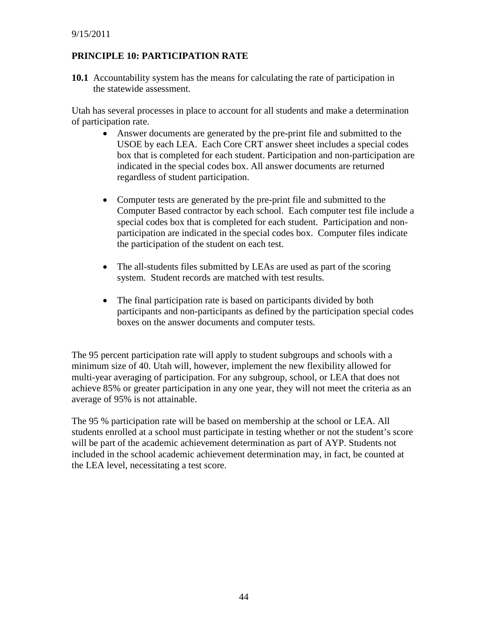## **PRINCIPLE 10: PARTICIPATION RATE**

**10.1** Accountability system has the means for calculating the rate of participation in the statewide assessment.

Utah has several processes in place to account for all students and make a determination of participation rate.

- Answer documents are generated by the pre-print file and submitted to the USOE by each LEA. Each Core CRT answer sheet includes a special codes box that is completed for each student. Participation and non-participation are indicated in the special codes box. All answer documents are returned regardless of student participation.
- Computer tests are generated by the pre-print file and submitted to the Computer Based contractor by each school. Each computer test file include a special codes box that is completed for each student. Participation and nonparticipation are indicated in the special codes box. Computer files indicate the participation of the student on each test.
- The all-students files submitted by LEAs are used as part of the scoring system. Student records are matched with test results.
- The final participation rate is based on participants divided by both participants and non-participants as defined by the participation special codes boxes on the answer documents and computer tests.

The 95 percent participation rate will apply to student subgroups and schools with a minimum size of 40. Utah will, however, implement the new flexibility allowed for multi-year averaging of participation. For any subgroup, school, or LEA that does not achieve 85% or greater participation in any one year, they will not meet the criteria as an average of 95% is not attainable.

The 95 % participation rate will be based on membership at the school or LEA. All students enrolled at a school must participate in testing whether or not the student's score will be part of the academic achievement determination as part of AYP. Students not included in the school academic achievement determination may, in fact, be counted at the LEA level, necessitating a test score.